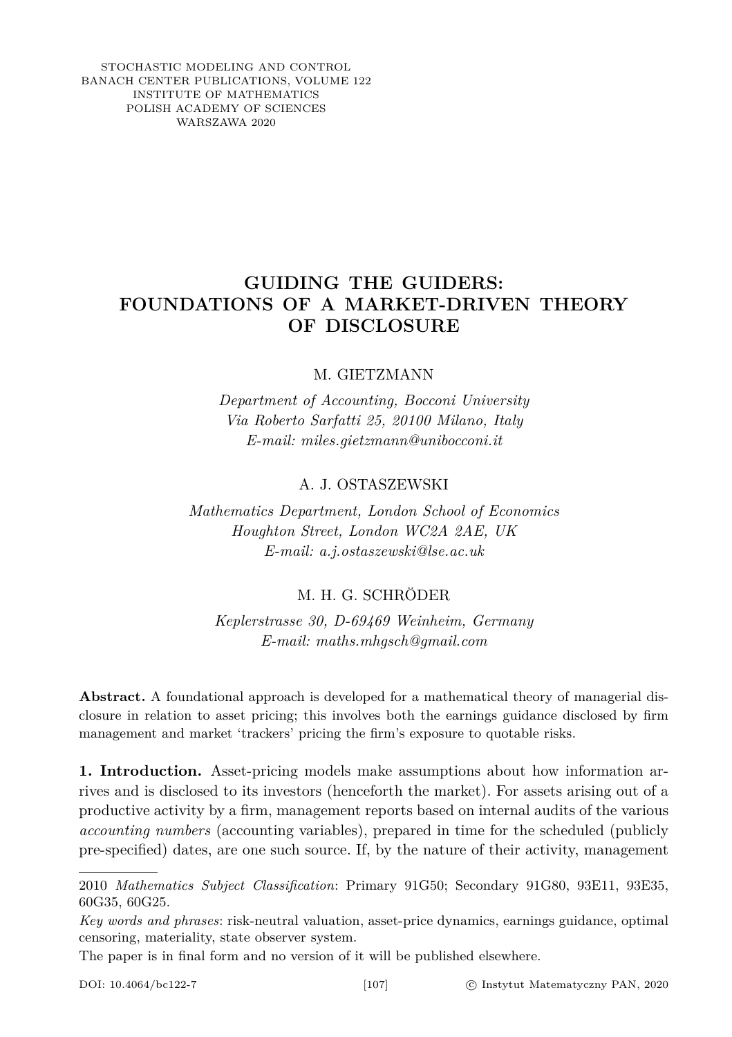STOCHASTIC MODELING AND CONTROL BANACH CENTER PUBLICATIONS, VOLUME 122 INSTITUTE OF MATHEMATICS POLISH ACADEMY OF SCIENCES WARSZAWA 2020

# **GUIDING THE GUIDERS: FOUNDATIONS OF A MARKET-DRIVEN THEORY OF DISCLOSURE**

### M. GIETZMANN

*Department of Accounting, Bocconi University Via Roberto Sarfatti 25, 20100 Milano, Italy E-mail: miles.gietzmann@unibocconi.it*

### A. J. OSTASZEWSKI

*Mathematics Department, London School of Economics Houghton Street, London WC2A 2AE, UK E-mail: a.j.ostaszewski@lse.ac.uk*

## M. H. G. SCHRÖDER

*Keplerstrasse 30, D-69469 Weinheim, Germany E-mail: maths.mhgsch@gmail.com*

**Abstract.** A foundational approach is developed for a mathematical theory of managerial disclosure in relation to asset pricing; this involves both the earnings guidance disclosed by firm management and market 'trackers' pricing the firm's exposure to quotable risks.

**1. Introduction.** Asset-pricing models make assumptions about how information arrives and is disclosed to its investors (henceforth the market). For assets arising out of a productive activity by a firm, management reports based on internal audits of the various *accounting numbers* (accounting variables), prepared in time for the scheduled (publicly pre-specified) dates, are one such source. If, by the nature of their activity, management

The paper is in final form and no version of it will be published elsewhere.

<sup>2010</sup> *Mathematics Subject Classification*: Primary 91G50; Secondary 91G80, 93E11, 93E35, 60G35, 60G25.

*Key words and phrases*: risk-neutral valuation, asset-price dynamics, earnings guidance, optimal censoring, materiality, state observer system.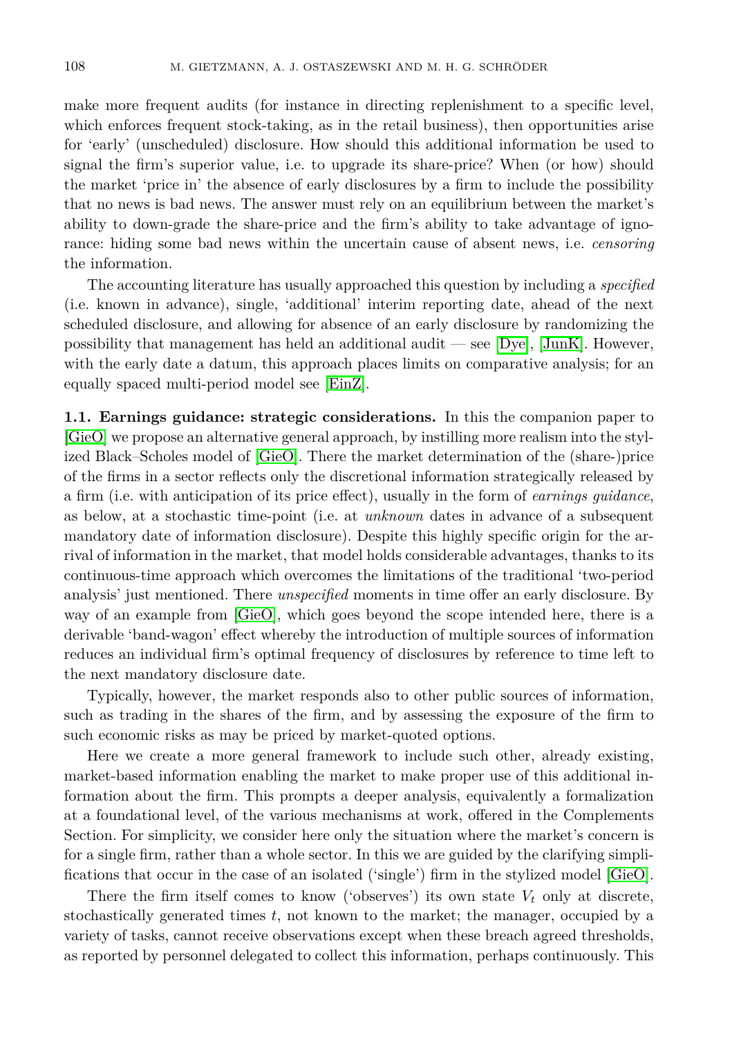make more frequent audits (for instance in directing replenishment to a specific level, which enforces frequent stock-taking, as in the retail business), then opportunities arise for 'early' (unscheduled) disclosure. How should this additional information be used to signal the firm's superior value, i.e. to upgrade its share-price? When (or how) should the market 'price in' the absence of early disclosures by a firm to include the possibility that no news is bad news. The answer must rely on an equilibrium between the market's ability to down-grade the share-price and the firm's ability to take advantage of ignorance: hiding some bad news within the uncertain cause of absent news, i.e. *censoring* the information.

The accounting literature has usually approached this question by including a *specified* (i.e. known in advance), single, 'additional' interim reporting date, ahead of the next scheduled disclosure, and allowing for absence of an early disclosure by randomizing the possibility that management has held an additional audit — see  $[Dye]$ ,  $[JunK]$ . However, with the early date a datum, this approach places limits on comparative analysis; for an equally spaced multi-period model see [\[EinZ\]](#page-25-2).

**1.1. Earnings guidance: strategic considerations.** In this the companion paper to [\[GieO\]](#page-25-3) we propose an alternative general approach, by instilling more realism into the stylized Black–Scholes model of [\[GieO\]](#page-25-3). There the market determination of the (share-)price of the firms in a sector reflects only the discretional information strategically released by a firm (i.e. with anticipation of its price effect), usually in the form of *earnings guidance*, as below, at a stochastic time-point (i.e. at *unknown* dates in advance of a subsequent mandatory date of information disclosure). Despite this highly specific origin for the arrival of information in the market, that model holds considerable advantages, thanks to its continuous-time approach which overcomes the limitations of the traditional 'two-period analysis' just mentioned. There *unspecified* moments in time offer an early disclosure. By way of an example from [\[GieO\]](#page-25-3), which goes beyond the scope intended here, there is a derivable 'band-wagon' effect whereby the introduction of multiple sources of information reduces an individual firm's optimal frequency of disclosures by reference to time left to the next mandatory disclosure date.

Typically, however, the market responds also to other public sources of information, such as trading in the shares of the firm, and by assessing the exposure of the firm to such economic risks as may be priced by market-quoted options.

Here we create a more general framework to include such other, already existing, market-based information enabling the market to make proper use of this additional information about the firm. This prompts a deeper analysis, equivalently a formalization at a foundational level, of the various mechanisms at work, offered in the Complements Section. For simplicity, we consider here only the situation where the market's concern is for a single firm, rather than a whole sector. In this we are guided by the clarifying simplifications that occur in the case of an isolated ('single') firm in the stylized model [\[GieO\]](#page-25-3).

There the firm itself comes to know ('observes') its own state  $V_t$  only at discrete, stochastically generated times *t*, not known to the market; the manager, occupied by a variety of tasks, cannot receive observations except when these breach agreed thresholds, as reported by personnel delegated to collect this information, perhaps continuously. This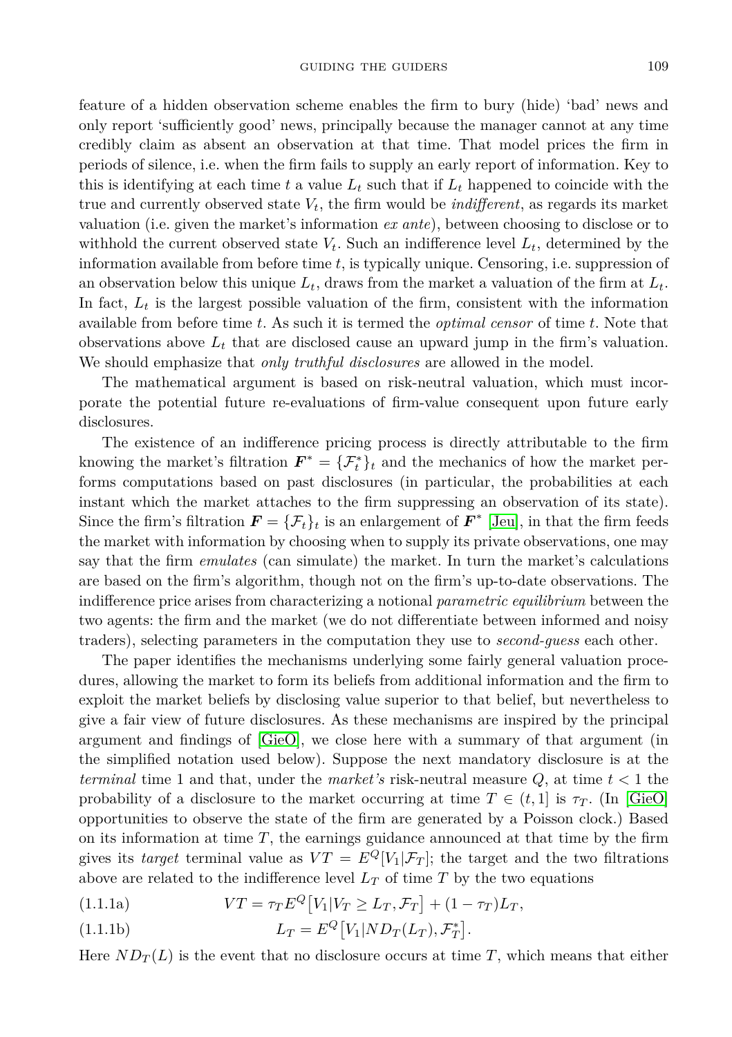feature of a hidden observation scheme enables the firm to bury (hide) 'bad' news and only report 'sufficiently good' news, principally because the manager cannot at any time credibly claim as absent an observation at that time. That model prices the firm in periods of silence, i.e. when the firm fails to supply an early report of information. Key to this is identifying at each time  $t$  a value  $L_t$  such that if  $L_t$  happened to coincide with the true and currently observed state *Vt*, the firm would be *indifferent*, as regards its market valuation (i.e. given the market's information *ex ante*), between choosing to disclose or to withhold the current observed state  $V_t$ . Such an indifference level  $L_t$ , determined by the information available from before time *t*, is typically unique. Censoring, i.e. suppression of an observation below this unique  $L_t$ , draws from the market a valuation of the firm at  $L_t$ . In fact,  $L_t$  is the largest possible valuation of the firm, consistent with the information available from before time *t*. As such it is termed the *optimal censor* of time *t*. Note that observations above  $L_t$  that are disclosed cause an upward jump in the firm's valuation. We should emphasize that *only truthful disclosures* are allowed in the model.

The mathematical argument is based on risk-neutral valuation, which must incorporate the potential future re-evaluations of firm-value consequent upon future early disclosures.

The existence of an indifference pricing process is directly attributable to the firm knowing the market's filtration  $\mathbf{F}^* = {\mathcal{F}^*_t}_{t}$  and the mechanics of how the market performs computations based on past disclosures (in particular, the probabilities at each instant which the market attaches to the firm suppressing an observation of its state). Since the firm's filtration  $\mathbf{F} = {\{\mathcal{F}_t\}_t}$  is an enlargement of  $\mathbf{F}^*$  [\[Jeu\]](#page-25-4), in that the firm feeds the market with information by choosing when to supply its private observations, one may say that the firm *emulates* (can simulate) the market. In turn the market's calculations are based on the firm's algorithm, though not on the firm's up-to-date observations. The indifference price arises from characterizing a notional *parametric equilibrium* between the two agents: the firm and the market (we do not differentiate between informed and noisy traders), selecting parameters in the computation they use to *second-guess* each other.

The paper identifies the mechanisms underlying some fairly general valuation procedures, allowing the market to form its beliefs from additional information and the firm to exploit the market beliefs by disclosing value superior to that belief, but nevertheless to give a fair view of future disclosures. As these mechanisms are inspired by the principal argument and findings of [\[GieO\]](#page-25-3), we close here with a summary of that argument (in the simplified notation used below). Suppose the next mandatory disclosure is at the *terminal* time 1 and that, under the *market's* risk-neutral measure *Q*, at time *t <* 1 the probability of a disclosure to the market occurring at time  $T \in (t, 1]$  is  $\tau_T$ . (In [\[GieO\]](#page-25-3) opportunities to observe the state of the firm are generated by a Poisson clock.) Based on its information at time *T*, the earnings guidance announced at that time by the firm gives its *target* terminal value as  $VT = E^Q[V_1|\mathcal{F}_T]$ ; the target and the two filtrations above are related to the indifference level  $L_T$  of time  $T$  by the two equations

(1.1.1a) 
$$
VT = \tau_T E^Q[V_1|V_T \ge L_T, \mathcal{F}_T] + (1 - \tau_T)L_T,
$$

(1.1.1b) 
$$
L_T = E^Q[V_1|ND_T(L_T), \mathcal{F}_T^*].
$$

Here  $ND_{T}(L)$  is the event that no disclosure occurs at time T, which means that either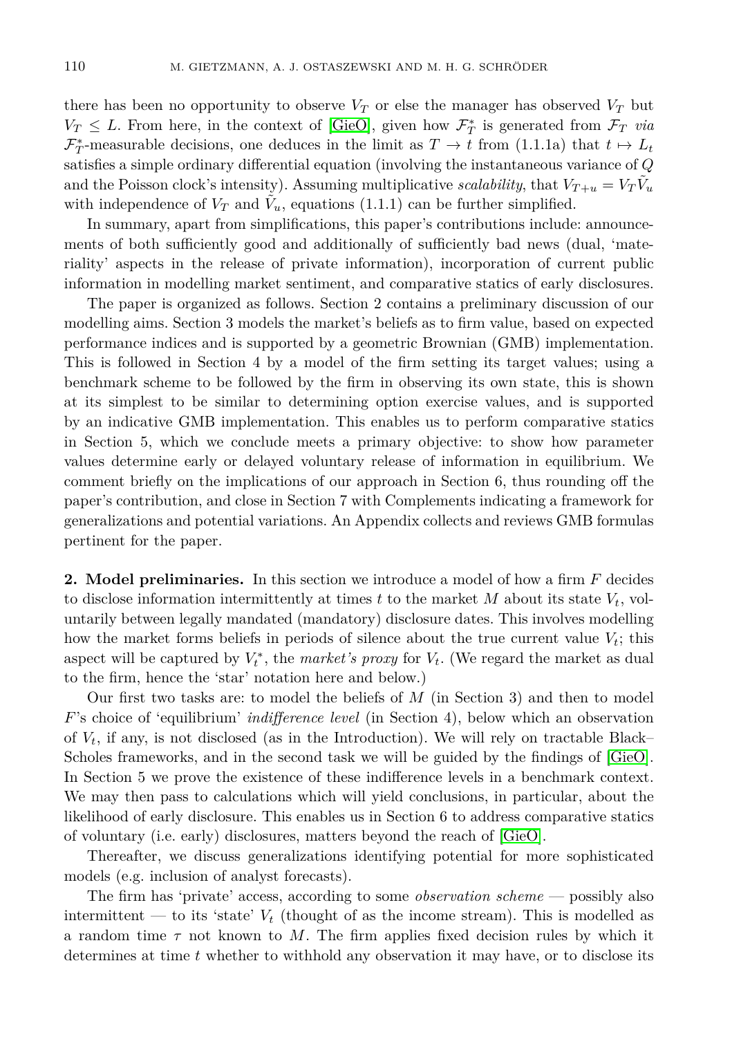there has been no opportunity to observe  $V_T$  or else the manager has observed  $V_T$  but  $V_T \leq L$ . From here, in the context of [\[GieO\]](#page-25-3), given how  $\mathcal{F}^*_T$  is generated from  $\mathcal{F}_T$  *via*  $\mathcal{F}_T^*$ -measurable decisions, one deduces in the limit as  $T \to t$  from (1.1.1a) that  $t \mapsto L_t$ satisfies a simple ordinary differential equation (involving the instantaneous variance of *Q* and the Poisson clock's intensity). Assuming multiplicative *scalability*, that  $V_{T+u} = V_T \tilde{V}_u$ with independence of  $V_T$  and  $\tilde{V}_u$ , equations (1.1.1) can be further simplified.

In summary, apart from simplifications, this paper's contributions include: announcements of both sufficiently good and additionally of sufficiently bad news (dual, 'materiality' aspects in the release of private information), incorporation of current public information in modelling market sentiment, and comparative statics of early disclosures.

The paper is organized as follows. Section 2 contains a preliminary discussion of our modelling aims. Section 3 models the market's beliefs as to firm value, based on expected performance indices and is supported by a geometric Brownian (GMB) implementation. This is followed in Section 4 by a model of the firm setting its target values; using a benchmark scheme to be followed by the firm in observing its own state, this is shown at its simplest to be similar to determining option exercise values, and is supported by an indicative GMB implementation. This enables us to perform comparative statics in Section 5, which we conclude meets a primary objective: to show how parameter values determine early or delayed voluntary release of information in equilibrium. We comment briefly on the implications of our approach in Section 6, thus rounding off the paper's contribution, and close in Section 7 with Complements indicating a framework for generalizations and potential variations. An Appendix collects and reviews GMB formulas pertinent for the paper.

**2. Model preliminaries.** In this section we introduce a model of how a firm *F* decides to disclose information intermittently at times  $t$  to the market  $M$  about its state  $V_t$ , voluntarily between legally mandated (mandatory) disclosure dates. This involves modelling how the market forms beliefs in periods of silence about the true current value  $V_t$ ; this aspect will be captured by  $V_t^*$ , the *market's proxy* for  $V_t$ . (We regard the market as dual to the firm, hence the 'star' notation here and below.)

Our first two tasks are: to model the beliefs of *M* (in Section 3) and then to model *F*'s choice of 'equilibrium' *indifference level* (in Section 4), below which an observation of  $V_t$ , if any, is not disclosed (as in the Introduction). We will rely on tractable Black– Scholes frameworks, and in the second task we will be guided by the findings of [\[GieO\]](#page-25-3). In Section 5 we prove the existence of these indifference levels in a benchmark context. We may then pass to calculations which will yield conclusions, in particular, about the likelihood of early disclosure. This enables us in Section 6 to address comparative statics of voluntary (i.e. early) disclosures, matters beyond the reach of [\[GieO\]](#page-25-3).

Thereafter, we discuss generalizations identifying potential for more sophisticated models (e.g. inclusion of analyst forecasts).

The firm has 'private' access, according to some *observation scheme* — possibly also intermittent — to its 'state'  $V_t$  (thought of as the income stream). This is modelled as a random time  $\tau$  not known to M. The firm applies fixed decision rules by which it determines at time *t* whether to withhold any observation it may have, or to disclose its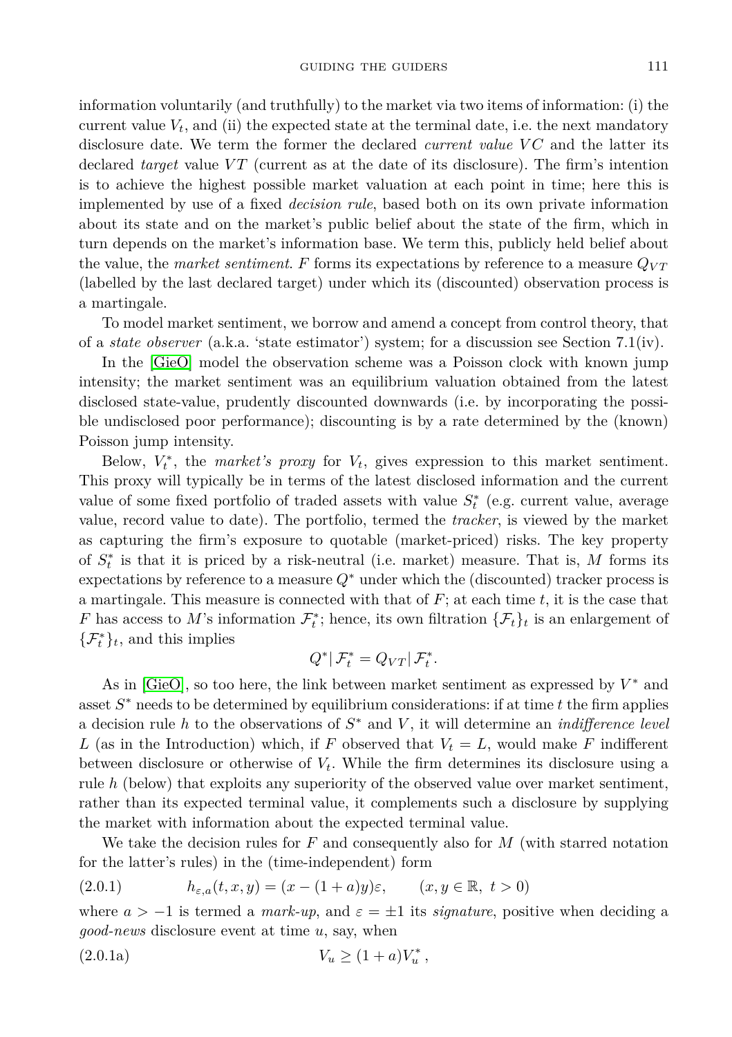information voluntarily (and truthfully) to the market via two items of information: (i) the current value  $V_t$ , and (ii) the expected state at the terminal date, i.e. the next mandatory disclosure date. We term the former the declared *current value VC* and the latter its declared *target* value VT (current as at the date of its disclosure). The firm's intention is to achieve the highest possible market valuation at each point in time; here this is implemented by use of a fixed *decision rule*, based both on its own private information about its state and on the market's public belief about the state of the firm, which in turn depends on the market's information base. We term this, publicly held belief about the value, the *market sentiment.*  $F$  forms its expectations by reference to a measure  $Q_{VT}$ (labelled by the last declared target) under which its (discounted) observation process is a martingale.

To model market sentiment, we borrow and amend a concept from control theory, that of a *state observer* (a.k.a. 'state estimator') system; for a discussion see Section 7.1(iv).

In the [\[GieO\]](#page-25-3) model the observation scheme was a Poisson clock with known jump intensity; the market sentiment was an equilibrium valuation obtained from the latest disclosed state-value, prudently discounted downwards (i.e. by incorporating the possible undisclosed poor performance); discounting is by a rate determined by the (known) Poisson jump intensity.

Below,  $V_t^*$ , the *market's proxy* for  $V_t$ , gives expression to this market sentiment. This proxy will typically be in terms of the latest disclosed information and the current value of some fixed portfolio of traded assets with value  $S_t^*$  (e.g. current value, average value, record value to date). The portfolio, termed the *tracker*, is viewed by the market as capturing the firm's exposure to quotable (market-priced) risks. The key property of  $S_t^*$  is that it is priced by a risk-neutral (i.e. market) measure. That is,  $M$  forms its expectations by reference to a measure *Q*<sup>∗</sup> under which the (discounted) tracker process is a martingale. This measure is connected with that of *F*; at each time *t*, it is the case that *F* has access to *M*'s information  $\mathcal{F}_t^*$ ; hence, its own filtration  $\{\mathcal{F}_t\}_t$  is an enlargement of  $\{\mathcal{F}_t^*\}_t$ , and this implies

$$
Q^*|\mathcal{F}_t^* = Q_{VT}|\mathcal{F}_t^*.
$$

As in [\[GieO\]](#page-25-3), so too here, the link between market sentiment as expressed by  $V^*$  and asset *S* <sup>∗</sup> needs to be determined by equilibrium considerations: if at time *t* the firm applies a decision rule *h* to the observations of *S* <sup>∗</sup> and *V* , it will determine an *indifference level L* (as in the Introduction) which, if *F* observed that  $V_t = L$ , would make *F* indifferent between disclosure or otherwise of *Vt*. While the firm determines its disclosure using a rule *h* (below) that exploits any superiority of the observed value over market sentiment, rather than its expected terminal value, it complements such a disclosure by supplying the market with information about the expected terminal value.

We take the decision rules for *F* and consequently also for *M* (with starred notation for the latter's rules) in the (time-independent) form

(2.0.1) 
$$
h_{\varepsilon,a}(t,x,y)=(x-(1+a)y)\varepsilon, \qquad (x,y\in\mathbb{R},\ t>0)
$$

where  $a > -1$  is termed a *mark-up*, and  $\varepsilon = \pm 1$  its *signature*, positive when deciding a *good-news* disclosure event at time *u*, say, when

(2.0.1a) 
$$
V_u \ge (1+a)V_u^*,
$$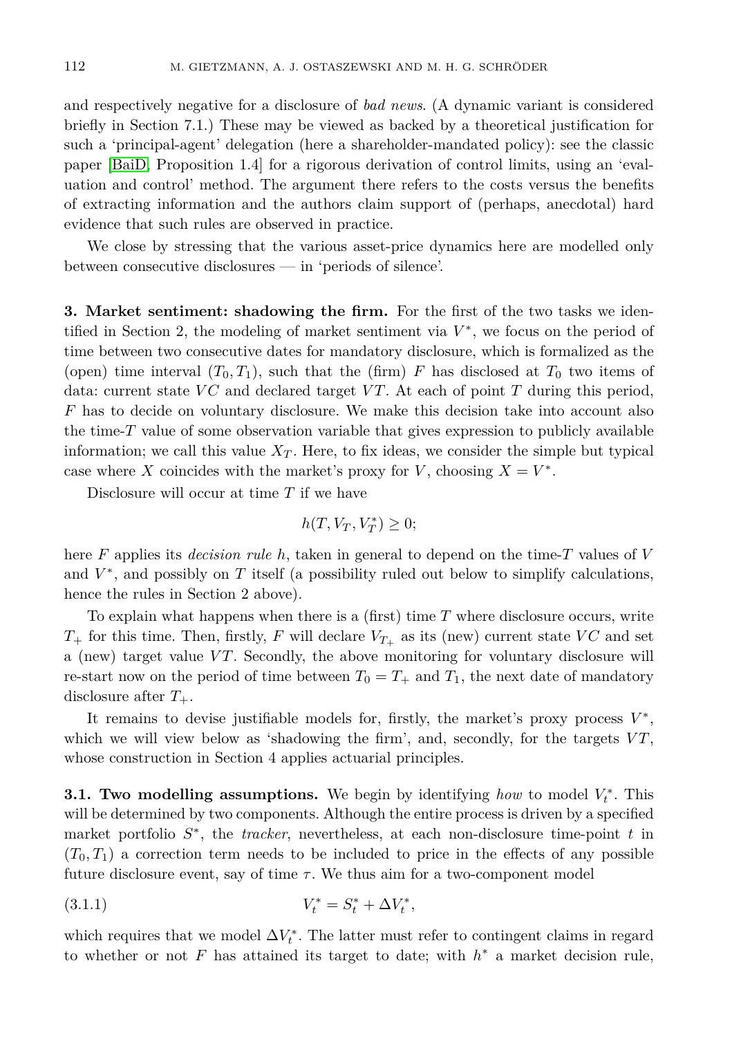and respectively negative for a disclosure of *bad news*. (A dynamic variant is considered briefly in Section 7.1.) These may be viewed as backed by a theoretical justification for such a 'principal-agent' delegation (here a shareholder-mandated policy): see the classic paper [\[BaiD,](#page-24-0) Proposition 1.4] for a rigorous derivation of control limits, using an 'evaluation and control' method. The argument there refers to the costs versus the benefits of extracting information and the authors claim support of (perhaps, anecdotal) hard evidence that such rules are observed in practice.

We close by stressing that the various asset-price dynamics here are modelled only between consecutive disclosures — in 'periods of silence'.

**3. Market sentiment: shadowing the firm.** For the first of the two tasks we identified in Section 2, the modeling of market sentiment via  $V^*$ , we focus on the period of time between two consecutive dates for mandatory disclosure, which is formalized as the (open) time interval  $(T_0, T_1)$ , such that the (firm) F has disclosed at  $T_0$  two items of data: current state *VC* and declared target *VT*. At each of point *T* during this period, *F* has to decide on voluntary disclosure. We make this decision take into account also the time-*T* value of some observation variable that gives expression to publicly available information; we call this value  $X_T$ . Here, to fix ideas, we consider the simple but typical case where *X* coincides with the market's proxy for *V*, choosing  $X = V^*$ .

Disclosure will occur at time *T* if we have

$$
h(T, V_T, V_T^*) \ge 0;
$$

here *F* applies its *decision rule h*, taken in general to depend on the time-*T* values of *V* and  $V^*$ , and possibly on  $T$  itself (a possibility ruled out below to simplify calculations, hence the rules in Section 2 above).

To explain what happens when there is a (first) time *T* where disclosure occurs, write  $T_{+}$  for this time. Then, firstly, *F* will declare  $V_{T_{+}}$  as its (new) current state *VC* and set a (new) target value *V T*. Secondly, the above monitoring for voluntary disclosure will re-start now on the period of time between  $T_0 = T_+$  and  $T_1$ , the next date of mandatory disclosure after *T*+.

It remains to devise justifiable models for, firstly, the market's proxy process  $V^*$ , which we will view below as 'shadowing the firm', and, secondly, for the targets  $VT$ , whose construction in Section 4 applies actuarial principles.

**3.1. Two modelling assumptions.** We begin by identifying *how* to model  $V_t^*$ . This will be determined by two components. Although the entire process is driven by a specified market portfolio  $S^*$ , the *tracker*, nevertheless, at each non-disclosure time-point *t* in  $(T_0, T_1)$  a correction term needs to be included to price in the effects of any possible future disclosure event, say of time  $\tau$ . We thus aim for a two-component model

(3.1.1) 
$$
V_t^* = S_t^* + \Delta V_t^*,
$$

which requires that we model  $\Delta V_t^*$ . The latter must refer to contingent claims in regard to whether or not  $F$  has attained its target to date; with  $h^*$  a market decision rule,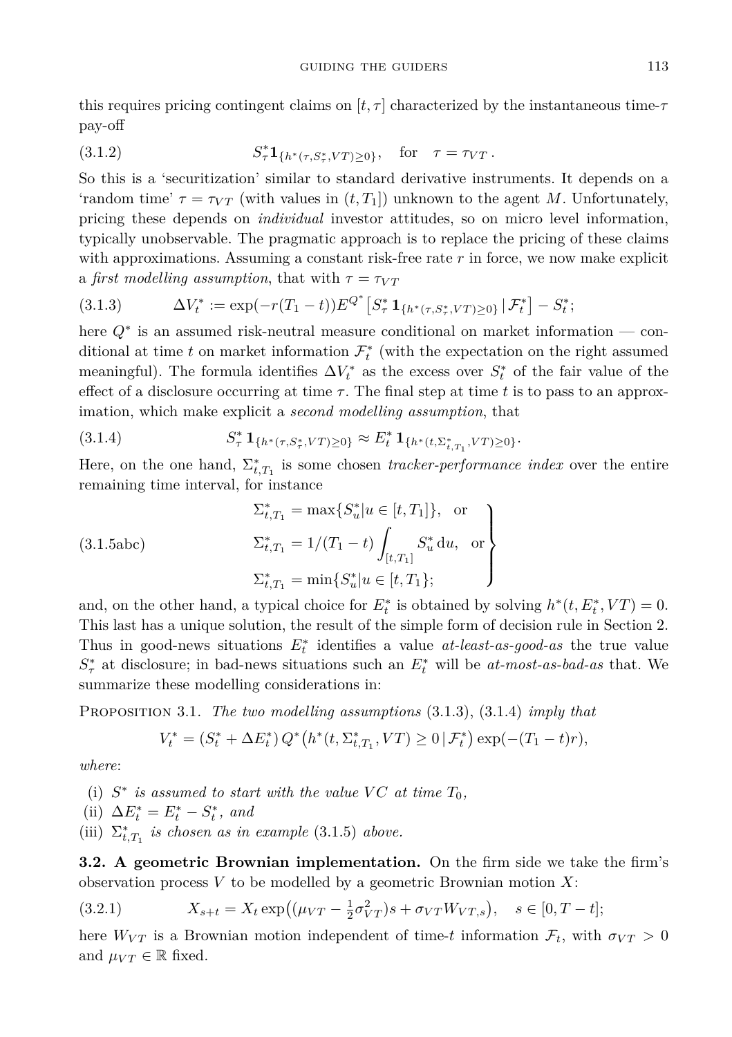this requires pricing contingent claims on  $[t, \tau]$  characterized by the instantaneous time- $\tau$ pay-off

(3.1.2) 
$$
S_{\tau}^* \mathbf{1}_{\{h^*(\tau, S_{\tau}^*, VT) \ge 0\}}, \text{ for } \tau = \tau_{VT}.
$$

So this is a 'securitization' similar to standard derivative instruments. It depends on a 'random time'  $\tau = \tau_{VT}$  (with values in  $(t, T_1)$ ) unknown to the agent *M*. Unfortunately, pricing these depends on *individual* investor attitudes, so on micro level information, typically unobservable. The pragmatic approach is to replace the pricing of these claims with approximations. Assuming a constant risk-free rate *r* in force, we now make explicit a *first modelling assumption*, that with  $\tau = \tau_{VT}$ 

$$
(3.1.3) \qquad \Delta V_t^* := \exp(-r(T_1 - t)) E^{Q^*} \left[ S_\tau^* \mathbf{1}_{\{h^*(\tau, S_\tau^*, VT) \ge 0\}} \, | \, \mathcal{F}_t^* \right] - S_t^*;
$$

here *Q*<sup>∗</sup> is an assumed risk-neutral measure conditional on market information — conditional at time *t* on market information  $\mathcal{F}_t^*$  (with the expectation on the right assumed meaningful). The formula identifies  $\Delta V_t^*$  as the excess over  $S_t^*$  of the fair value of the effect of a disclosure occurring at time  $\tau$ . The final step at time t is to pass to an approximation, which make explicit a *second modelling assumption*, that

$$
(3.1.4) \tS^*_{\tau} \mathbf{1}_{\{h^*(\tau,S^*_\tau,VT)\geq 0\}} \approx E^*_t \mathbf{1}_{\{h^*(t,\Sigma^*_{t,T_1},VT)\geq 0\}}.
$$

Here, on the one hand,  $\Sigma_{t,T_1}^*$  is some chosen *tracker-performance index* over the entire remaining time interval, for instance

(3.1.5abc)  

$$
\Sigma_{t,T_1}^* = \max\{S_u^* | u \in [t, T_1]\}, \text{ or}
$$

$$
\Sigma_{t,T_1}^* = 1/(T_1 - t) \int_{[t,T_1]} S_u^* du, \text{ or}
$$

$$
\Sigma_{t,T_1}^* = \min\{S_u^* | u \in [t, T_1]\};
$$

and, on the other hand, a typical choice for  $E_t^*$  is obtained by solving  $h^*(t, E_t^*, VT) = 0$ . This last has a unique solution, the result of the simple form of decision rule in Section 2. Thus in good-news situations  $E_t^*$  identifies a value  $at$ -least-as-good-as the true value  $S^*$  at disclosure; in bad-news situations such an  $E^*$  will be *at-most-as-bad-as* that. We summarize these modelling considerations in:

Proposition 3.1. *The two modelling assumptions* (3.1.3), (3.1.4) *imply that*

$$
V_t^* = (S_t^* + \Delta E_t^*) Q^* (h^*(t, \Sigma_{t, T_1}^*, VT) \geq 0 | \mathcal{F}_t^*) \exp(-(T_1 - t)r),
$$

*where*:

- (i)  $S^*$  *is assumed to start with the value*  $VC$  *at time*  $T_0$ *,*
- (ii)  $\Delta E_t^* = E_t^* S_t^*$ , and
- (iii)  $\Sigma_{t,T_1}^*$  *is chosen as in example* (3.1.5) *above.*

**3.2. A geometric Brownian implementation.** On the firm side we take the firm's observation process *V* to be modelled by a geometric Brownian motion *X*:

$$
(3.2.1) \t\t X_{s+t} = X_t \exp((\mu_{VT} - \frac{1}{2}\sigma_{VT}^2)s + \sigma_{VT}W_{VT,s}), \quad s \in [0, T-t];
$$

here  $W_{VT}$  is a Brownian motion independent of time-*t* information  $\mathcal{F}_t$ , with  $\sigma_{VT} > 0$ and  $\mu_{VT} \in \mathbb{R}$  fixed.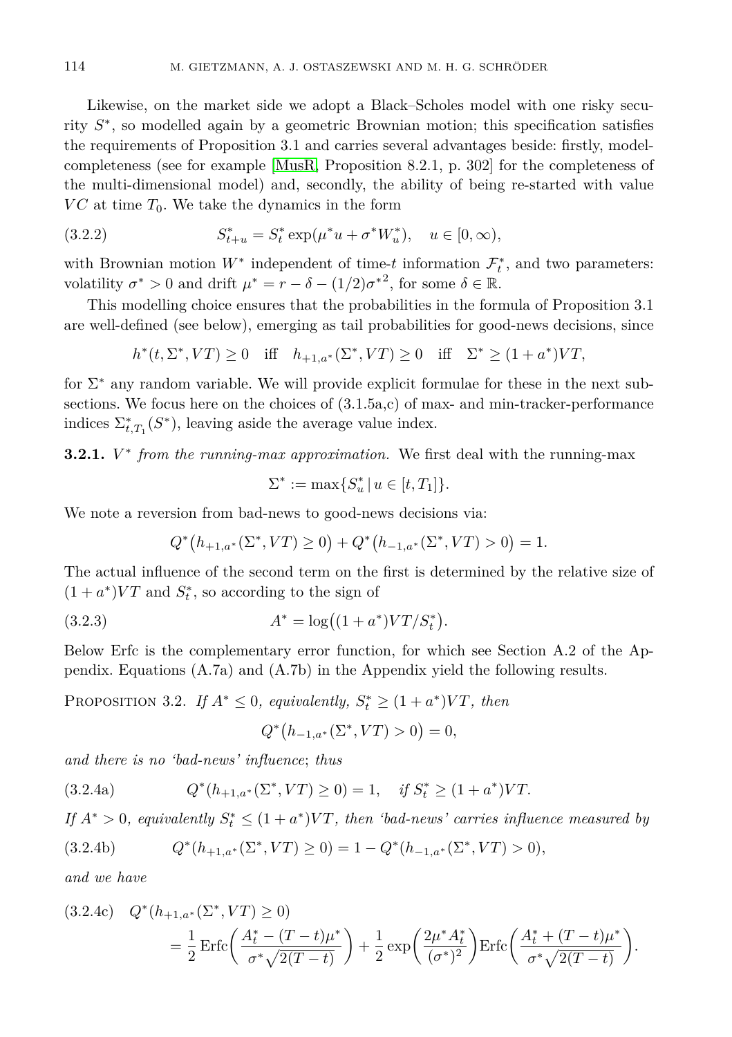Likewise, on the market side we adopt a Black–Scholes model with one risky security *S* ∗ , so modelled again by a geometric Brownian motion; this specification satisfies the requirements of Proposition 3.1 and carries several advantages beside: firstly, modelcompleteness (see for example [\[MusR,](#page-25-5) Proposition 8.2.1, p. 302] for the completeness of the multi-dimensional model) and, secondly, the ability of being re-started with value  $VC$  at time  $T_0$ . We take the dynamics in the form

(3.2.2) 
$$
S_{t+u}^* = S_t^* \exp(\mu^* u + \sigma^* W_u^*), \quad u \in [0, \infty),
$$

with Brownian motion  $W^*$  independent of time-*t* information  $\mathcal{F}_t^*$ , and two parameters: volatility  $\sigma^* > 0$  and drift  $\mu^* = r - \delta - (1/2)\sigma^{*2}$ , for some  $\delta \in \mathbb{R}$ .

This modelling choice ensures that the probabilities in the formula of Proposition 3.1 are well-defined (see below), emerging as tail probabilities for good-news decisions, since

$$
h^*(t, \Sigma^*, VT) \ge 0 \quad \text{iff} \quad h_{+1, a^*}(\Sigma^*, VT) \ge 0 \quad \text{iff} \quad \Sigma^* \ge (1 + a^*)VT,
$$

for  $\Sigma^*$  any random variable. We will provide explicit formulae for these in the next subsections. We focus here on the choices of  $(3.1.5a,c)$  of max- and min-tracker-performance indices  $\Sigma_{t,T_1}^*(S^*)$ , leaving aside the average value index.

**3.2.1.**  $V^*$  *from the running-max approximation.* We first deal with the running-max

$$
\Sigma^* := \max\{S_u^* \, | \, u \in [t, T_1]\}.
$$

We note a reversion from bad-news to good-news decisions via:

$$
Q^*(h_{+1,a^*}(\Sigma^*, VT) \ge 0) + Q^*(h_{-1,a^*}(\Sigma^*, VT) > 0) = 1.
$$

The actual influence of the second term on the first is determined by the relative size of  $(1 + a^*)VT$  and  $S_t^*$ , so according to the sign of

(3.2.3) 
$$
A^* = \log((1 + a^*)VT/S_t^*).
$$

Below Erfc is the complementary error function, for which see Section A.2 of the Appendix. Equations (A.7a) and (A.7b) in the Appendix yield the following results.

PROPOSITION 3.2. *If*  $A^* \leq 0$ *, equivalently,*  $S_t^* \geq (1 + a^*)VT$ *, then* 

$$
Q^*(h_{-1,a^*}(\Sigma^*, VT) > 0) = 0,
$$

*and there is no 'bad-news' influence*; *thus*

$$
(3.2.4a) \tQ^*(h_{+1,a^*}(\Sigma^*, VT) \ge 0) = 1, \quad \text{if } S_t^* \ge (1 + a^*)VT.
$$

*If*  $A^* > 0$ , equivalently  $S_t^* \leq (1 + a^*)VT$ , then 'bad-news' carries influence measured by

$$
(3.2.4b) \tQ^*(h_{+1,a^*}(\Sigma^*, VT) \ge 0) = 1 - Q^*(h_{-1,a^*}(\Sigma^*, VT) > 0),
$$

*and we have*

$$
(3.2.4c)\quad Q^*(h_{+1,a^*}(\Sigma^*, VT) \ge 0)
$$
  
=  $\frac{1}{2}\operatorname{Erfc}\left(\frac{A_t^* - (T - t)\mu^*}{\sigma^* \sqrt{2(T - t)}}\right) + \frac{1}{2}\exp\left(\frac{2\mu^* A_t^*}{(\sigma^*)^2}\right)\operatorname{Erfc}\left(\frac{A_t^* + (T - t)\mu^*}{\sigma^* \sqrt{2(T - t)}}\right).$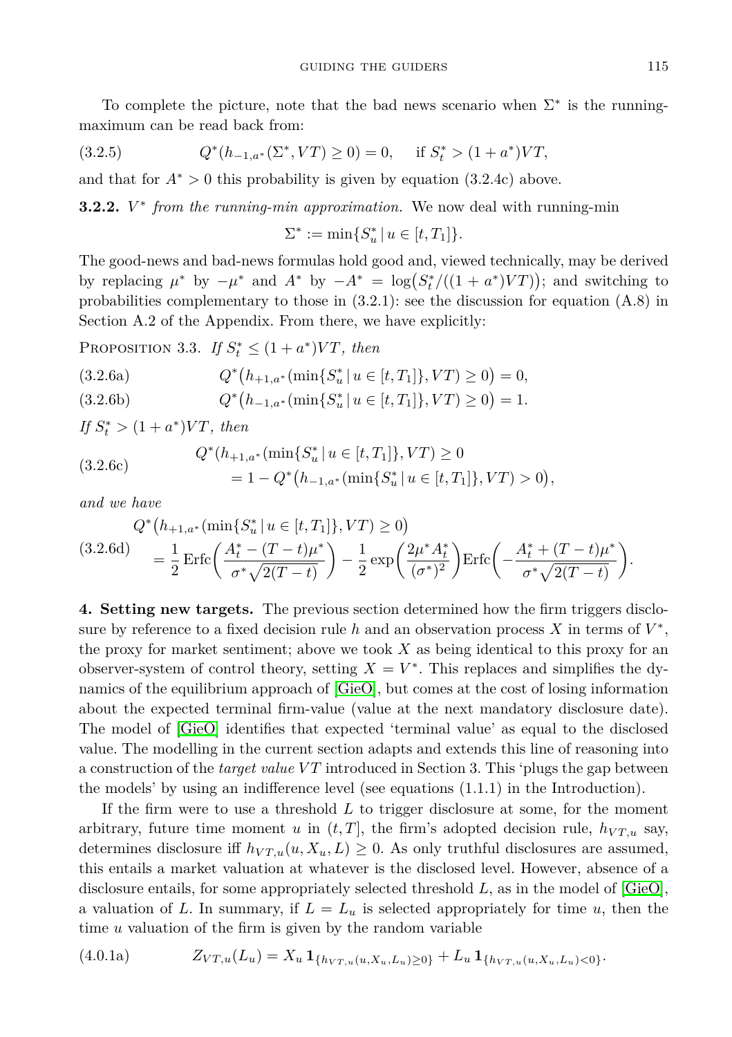To complete the picture, note that the bad news scenario when  $\Sigma^*$  is the runningmaximum can be read back from:

(3.2.5) 
$$
Q^*(h_{-1,a^*}(\Sigma^*, VT) \ge 0) = 0
$$
, if  $S_t^* > (1 + a^*)VT$ ,

and that for  $A^* > 0$  this probability is given by equation  $(3.2.4c)$  above.

**3.2.2.** *V* ∗ *from the running-min approximation.* We now deal with running-min

$$
\Sigma^* := \min\{S_u^* \, | \, u \in [t, T_1]\}.
$$

The good-news and bad-news formulas hold good and, viewed technically, may be derived by replacing  $\mu^*$  by  $-\mu^*$  and  $A^*$  by  $-A^* = \log(S_t^*/((1 + a^*)VT))$ ; and switching to probabilities complementary to those in  $(3.2.1)$ : see the discussion for equation  $(A.8)$  in Section A.2 of the Appendix. From there, we have explicitly:

PROPOSITION 3.3. *If*  $S_t^* \leq (1 + a^*)VT$ *, then* 

(3.2.6a) 
$$
Q^*(h_{+1,a^*}(\min\{S_u^*\,|\,u\in[t,T_1]\},VT)\geq 0)=0,
$$

(3.2.6b) 
$$
Q^*(h_{-1,a^*}(\min\{S_u^*\,|\,u\in[t,T_1]\},VT)\geq 0)=1.
$$

*If*  $S_t^*$  >  $(1 + a^*)VT$ *, then* 

(3.2.6c) 
$$
Q^*(h_{+1,a^*}(\min\{S_u^* \mid u \in [t,T_1]\}, VT) \ge 0
$$

$$
= 1 - Q^*(h_{-1,a^*}(\min\{S_u^* \mid u \in [t,T_1]\}, VT) > 0),
$$

*and we have*

$$
Q^*(h_{+1,a^*}(\min\{S_u^*\mid u \in [t,T_1]\}, VT) \ge 0)
$$
  
\n
$$
(3.2.6d)
$$
\n
$$
= \frac{1}{2} \operatorname{Erfc}\left(\frac{A_t^* - (T - t)\mu^*}{\sigma^* \sqrt{2(T - t)}}\right) - \frac{1}{2} \exp\left(\frac{2\mu^* A_t^*}{(\sigma^*)^2}\right) \operatorname{Erfc}\left(-\frac{A_t^* + (T - t)\mu^*}{\sigma^* \sqrt{2(T - t)}}\right).
$$

**4. Setting new targets.** The previous section determined how the firm triggers disclosure by reference to a fixed decision rule *h* and an observation process *X* in terms of  $V^*$ , the proxy for market sentiment; above we took *X* as being identical to this proxy for an observer-system of control theory, setting  $X = V^*$ . This replaces and simplifies the dynamics of the equilibrium approach of [\[GieO\]](#page-25-3), but comes at the cost of losing information about the expected terminal firm-value (value at the next mandatory disclosure date). The model of [\[GieO\]](#page-25-3) identifies that expected 'terminal value' as equal to the disclosed value. The modelling in the current section adapts and extends this line of reasoning into a construction of the *target value VT* introduced in Section 3. This 'plugs the gap between the models' by using an indifference level (see equations (1.1.1) in the Introduction).

If the firm were to use a threshold *L* to trigger disclosure at some, for the moment arbitrary, future time moment *u* in  $(t, T]$ , the firm's adopted decision rule,  $h_{VT, u}$  say, determines disclosure iff  $h_{VT,u}(u, X_u, L) \geq 0$ . As only truthful disclosures are assumed, this entails a market valuation at whatever is the disclosed level. However, absence of a disclosure entails, for some appropriately selected threshold *L*, as in the model of [\[GieO\]](#page-25-3), a valuation of L. In summary, if  $L = L_u$  is selected appropriately for time u, then the time *u* valuation of the firm is given by the random variable

$$
(4.0.1a) \t Z_{VT,u}(L_u) = X_u \mathbf{1}_{\{h_{VT,u}(u,X_u,L_u) \ge 0\}} + L_u \mathbf{1}_{\{h_{VT,u}(u,X_u,L_u) < 0\}}.
$$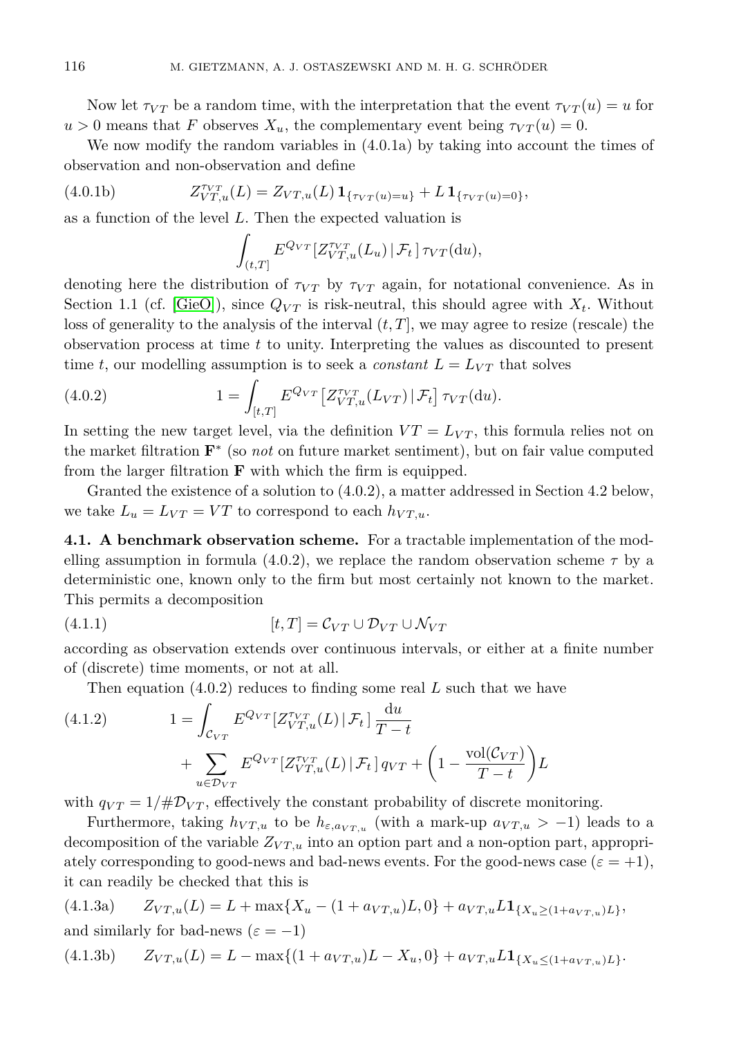Now let  $\tau_{VT}$  be a random time, with the interpretation that the event  $\tau_{VT}(u) = u$  for  $u > 0$  means that *F* observes  $X_u$ , the complementary event being  $\tau_{VT}(u) = 0$ .

We now modify the random variables in (4.0.1a) by taking into account the times of observation and non-observation and define

(4.0.1b) 
$$
Z_{VT,u}^{\tau_{VT}}(L) = Z_{VT,u}(L) \mathbf{1}_{\{\tau_{VT}(u)=u\}} + L \mathbf{1}_{\{\tau_{VT}(u)=0\}},
$$

as a function of the level *L*. Then the expected valuation is

$$
\int_{(t,T]} E^{Q_{VT}}[Z_{VT,u}^{\tau_{VT}}(L_u) | \mathcal{F}_t] \tau_{VT}(\mathrm{d}u),
$$

denoting here the distribution of  $\tau_{VT}$  by  $\tau_{VT}$  again, for notational convenience. As in Section 1.1 (cf. [\[GieO\]](#page-25-3)), since  $Q_{VT}$  is risk-neutral, this should agree with  $X_t$ . Without loss of generality to the analysis of the interval  $(t, T]$ , we may agree to resize (rescale) the observation process at time *t* to unity. Interpreting the values as discounted to present time *t*, our modelling assumption is to seek a *constant*  $L = L_{VT}$  that solves

(4.0.2) 
$$
1 = \int_{[t,T]} E^{Q_{VT}} \left[ Z^{T_{VT}}_{VT,u}(L_{VT}) \, | \, \mathcal{F}_t \right] \tau_{VT}(\mathrm{d}u).
$$

In setting the new target level, via the definition  $VT = L_{VT}$ , this formula relies not on the market filtration **F** ∗ (so *not* on future market sentiment), but on fair value computed from the larger filtration **F** with which the firm is equipped.

Granted the existence of a solution to (4.0.2), a matter addressed in Section 4.2 below, we take  $L_u = L_{VT} = VT$  to correspond to each  $h_{VT,u}$ .

**4.1. A benchmark observation scheme.** For a tractable implementation of the modelling assumption in formula  $(4.0.2)$ , we replace the random observation scheme  $\tau$  by a deterministic one, known only to the firm but most certainly not known to the market. This permits a decomposition

(4.1.1) 
$$
[t,T] = \mathcal{C}_{VT} \cup \mathcal{D}_{VT} \cup \mathcal{N}_{VT}
$$

according as observation extends over continuous intervals, or either at a finite number of (discrete) time moments, or not at all.

Then equation (4.0.2) reduces to finding some real *L* such that we have

(4.1.2) 
$$
1 = \int_{\mathcal{C}_{VT}} E^{Q_{VT}} \left[ Z_{VT,u}^{\tau_{VT}}(L) \, | \, \mathcal{F}_t \right] \frac{du}{T-t} + \sum_{u \in \mathcal{D}_{VT}} E^{Q_{VT}} \left[ Z_{VT,u}^{\tau_{VT}}(L) \, | \, \mathcal{F}_t \right] q_{VT} + \left( 1 - \frac{\text{vol}(\mathcal{C}_{VT})}{T-t} \right) L
$$

with  $q_{VT} = 1/\#D_{VT}$ , effectively the constant probability of discrete monitoring.

Furthermore, taking  $h_{VT,u}$  to be  $h_{\varepsilon,a_{VT,u}}$  (with a mark-up  $a_{VT,u} > -1$ ) leads to a decomposition of the variable  $Z_{VT,u}$  into an option part and a non-option part, appropriately corresponding to good-news and bad-news events. For the good-news case  $(\varepsilon = +1)$ , it can readily be checked that this is

(4.1.3a) 
$$
Z_{VT,u}(L) = L + \max\{X_u - (1 + a_{VT,u})L, 0\} + a_{VT,u}L\mathbf{1}_{\{X_u \geq (1 + a_{VT,u})L\}},
$$
and similarly for bad news ( $\varepsilon = -1$ )

$$
(4.1.3b) \t Z_{VT,u}(L) = L - \max\{(1 + a_{VT,u})L - X_u, 0\} + a_{VT,u}L\mathbf{1}_{\{X_u \leq (1 + a_{VT,u})L\}}.
$$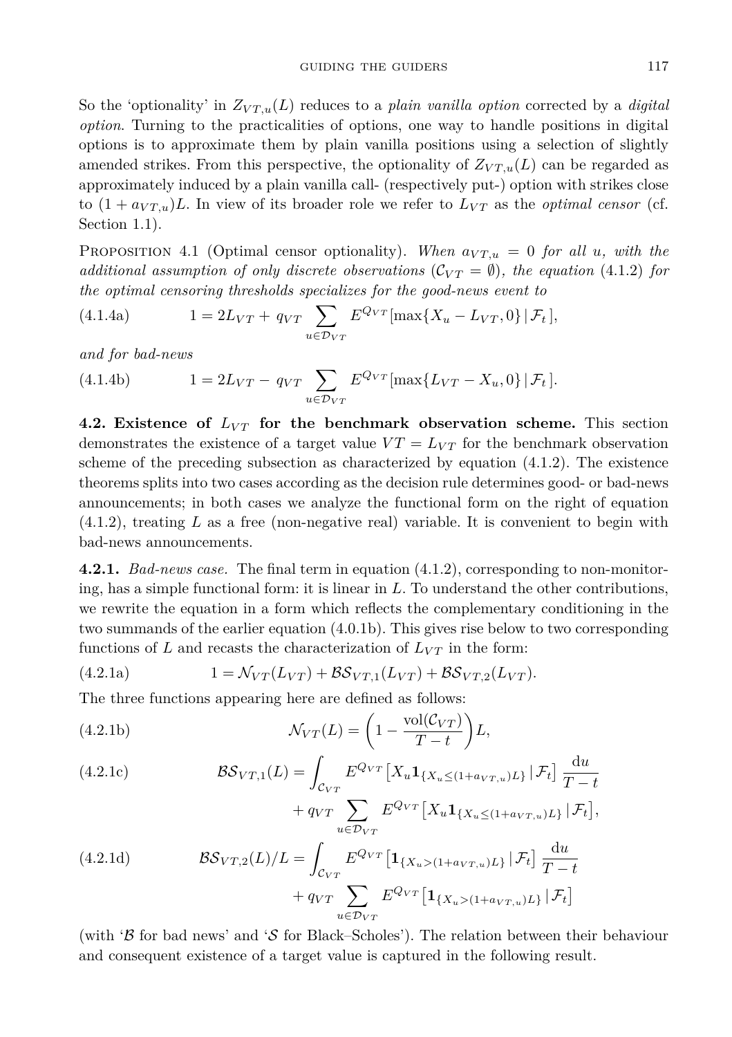So the 'optionality' in  $Z_{VT,u}(L)$  reduces to a *plain vanilla option* corrected by a *digital option*. Turning to the practicalities of options, one way to handle positions in digital options is to approximate them by plain vanilla positions using a selection of slightly amended strikes. From this perspective, the optionality of  $Z_{VT,u}(L)$  can be regarded as approximately induced by a plain vanilla call- (respectively put-) option with strikes close to  $(1 + a_{VT,u})L$ . In view of its broader role we refer to  $L_{VT}$  as the *optimal censor* (cf. Section 1.1).

PROPOSITION 4.1 (Optimal censor optionality). When  $a_{VT,u} = 0$  for all *u*, with the *additional assumption of only discrete observations*  $(\mathcal{C}_{VT} = \emptyset)$ , the equation (4.1.2) for *the optimal censoring thresholds specializes for the good-news event to*

(4.1.4a) 
$$
1 = 2L_{VT} + q_{VT} \sum_{u \in \mathcal{D}_{VT}} E^{Q_{VT}}[\max\{X_u - L_{VT}, 0\} | \mathcal{F}_t],
$$

*and for bad-news*

(4.1.4b) 
$$
1 = 2L_{VT} - q_{VT} \sum_{u \in \mathcal{D}_{VT}} E^{Q_{VT}} [\max\{L_{VT} - X_u, 0\} | \mathcal{F}_t].
$$

**4.2. Existence of**  $L_{VT}$  for the benchmark observation scheme. This section demonstrates the existence of a target value  $VT = L_{VT}$  for the benchmark observation scheme of the preceding subsection as characterized by equation (4.1.2). The existence theorems splits into two cases according as the decision rule determines good- or bad-news announcements; in both cases we analyze the functional form on the right of equation (4.1.2), treating *L* as a free (non-negative real) variable. It is convenient to begin with bad-news announcements.

**4.2.1.** *Bad-news case.* The final term in equation (4.1.2), corresponding to non-monitoring, has a simple functional form: it is linear in *L*. To understand the other contributions, we rewrite the equation in a form which reflects the complementary conditioning in the two summands of the earlier equation (4.0.1b). This gives rise below to two corresponding functions of *L* and recasts the characterization of  $L_{VT}$  in the form:

(4.2.1a) 
$$
1 = \mathcal{N}_{VT}(L_{VT}) + \mathcal{BS}_{VT,1}(L_{VT}) + \mathcal{BS}_{VT,2}(L_{VT}).
$$

The three functions appearing here are defined as follows:

(4.2.1b) 
$$
\mathcal{N}_{VT}(L) = \left(1 - \frac{\text{vol}(\mathcal{C}_{VT})}{T - t}\right)L,
$$

(4.2.1c)  
\n
$$
\mathcal{BS}_{VT,1}(L) = \int_{\mathcal{C}_{VT}} E^{Q_{VT}} \left[ X_u \mathbf{1}_{\{X_u \le (1 + a_{VT,u})L\}} | \mathcal{F}_t \right] \frac{du}{T - t} + q_{VT} \sum_{u \in \mathcal{D}_{VT}} E^{Q_{VT}} \left[ X_u \mathbf{1}_{\{X_u \le (1 + a_{VT,u})L\}} | \mathcal{F}_t \right],
$$
\n(4.2.1d)  
\n
$$
\mathcal{BS}_{VT,2}(L)/L = \int_{\mathcal{C}_{VT}} E^{Q_{VT}} \left[ \mathbf{1}_{\{X_u > (1 + a_{VT,u})L\}} | \mathcal{F}_t \right] \frac{du}{T - t} + q_{VT} \sum_{u \in \mathcal{D}_{VT}} E^{Q_{VT}} \left[ \mathbf{1}_{\{X_u > (1 + a_{VT,u})L\}} | \mathcal{F}_t \right]
$$

(with ' $\beta$  for bad news' and ' $\mathcal S$  for Black–Scholes'). The relation between their behaviour and consequent existence of a target value is captured in the following result.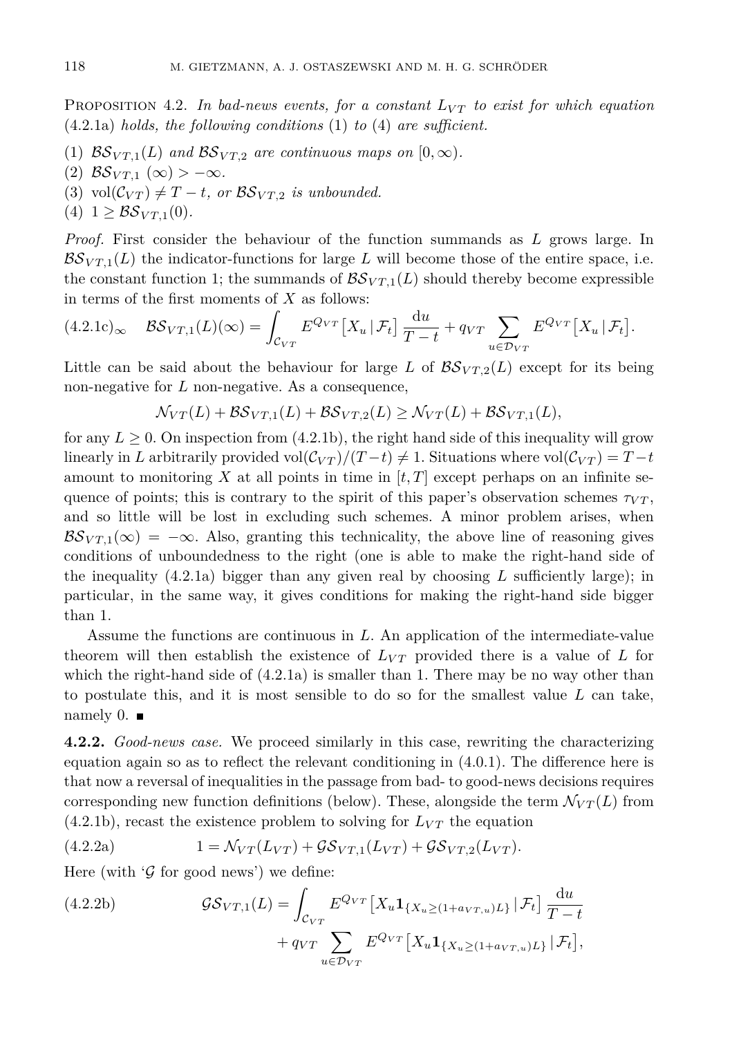PROPOSITION 4.2. In bad-news events, for a constant  $L_{VT}$  to exist for which equation (4.2.1a) *holds, the following conditions* (1) *to* (4) *are sufficient.*

- (1)  $BS_{VT,1}(L)$  and  $BS_{VT,2}$  are continuous maps on  $[0, \infty)$ .
- $(2)$   $\mathcal{BS}_{VT,1}(\infty) > -\infty$ .
- (3) vol $(\mathcal{C}_{VT}) \neq T-t$ , or  $\mathcal{BS}_{VT,2}$  *is unbounded.*
- (4)  $1 \geq \mathcal{BS}_{VT,1}(0)$ .

*Proof.* First consider the behaviour of the function summands as *L* grows large. In  $BS_{VT,1}(L)$  the indicator-functions for large L will become those of the entire space, i.e. the constant function 1; the summands of  $\mathcal{BS}_{VT,1}(L)$  should thereby become expressible in terms of the first moments of *X* as follows:

$$
(4.2.1c)_{\infty} \quad \mathcal{BS}_{VT,1}(L)(\infty) = \int_{\mathcal{C}_{VT}} E^{Q_{VT}} \left[ X_u \, | \, \mathcal{F}_t \right] \frac{\mathrm{d}u}{T-t} + q_{VT} \sum_{u \in \mathcal{D}_{VT}} E^{Q_{VT}} \left[ X_u \, | \, \mathcal{F}_t \right].
$$

Little can be said about the behaviour for large *L* of  $\mathcal{B}S_{VT,2}(L)$  except for its being non-negative for *L* non-negative. As a consequence,

$$
\mathcal{N}_{VT}(L) + \mathcal{BS}_{VT,1}(L) + \mathcal{BS}_{VT,2}(L) \geq \mathcal{N}_{VT}(L) + \mathcal{BS}_{VT,1}(L),
$$

for any  $L \geq 0$ . On inspection from (4.2.1b), the right hand side of this inequality will grow linearly in *L* arbitrarily provided vol $(\mathcal{C}_{VT})/(\mathcal{T}-t) \neq 1$ . Situations where vol $(\mathcal{C}_{VT}) = T-t$ amount to monitoring X at all points in time in  $[t, T]$  except perhaps on an infinite sequence of points; this is contrary to the spirit of this paper's observation schemes  $\tau_{VT}$ , and so little will be lost in excluding such schemes. A minor problem arises, when  $BS_{VT_1}(\infty) = -\infty$ . Also, granting this technicality, the above line of reasoning gives conditions of unboundedness to the right (one is able to make the right-hand side of the inequality (4.2.1a) bigger than any given real by choosing *L* sufficiently large); in particular, in the same way, it gives conditions for making the right-hand side bigger than 1.

Assume the functions are continuous in *L*. An application of the intermediate-value theorem will then establish the existence of  $L_{VT}$  provided there is a value of L for which the right-hand side of  $(4.2.1a)$  is smaller than 1. There may be no way other than to postulate this, and it is most sensible to do so for the smallest value *L* can take, namely 0.  $\blacksquare$ 

**4.2.2.** *Good-news case.* We proceed similarly in this case, rewriting the characterizing equation again so as to reflect the relevant conditioning in (4.0.1). The difference here is that now a reversal of inequalities in the passage from bad- to good-news decisions requires corresponding new function definitions (below). These, alongside the term  $\mathcal{N}_{VT}(L)$  from  $(4.2.1b)$ , recast the existence problem to solving for  $L_{VT}$  the equation

(4.2.2a) 
$$
1 = \mathcal{N}_{VT}(L_{VT}) + \mathcal{G}\mathcal{S}_{VT,1}(L_{VT}) + \mathcal{G}\mathcal{S}_{VT,2}(L_{VT}).
$$

Here (with  $\mathcal G$  for good news) we define:

(4.2.2b) 
$$
\mathcal{G}\mathcal{S}_{VT,1}(L) = \int_{\mathcal{C}_{VT}} E^{Q_{VT}} \left[ X_u \mathbf{1}_{\{X_u \geq (1+a_{VT,u})L\}} | \mathcal{F}_t \right] \frac{du}{T-t} + q_{VT} \sum_{u \in \mathcal{D}_{VT}} E^{Q_{VT}} \left[ X_u \mathbf{1}_{\{X_u \geq (1+a_{VT,u})L\}} | \mathcal{F}_t \right],
$$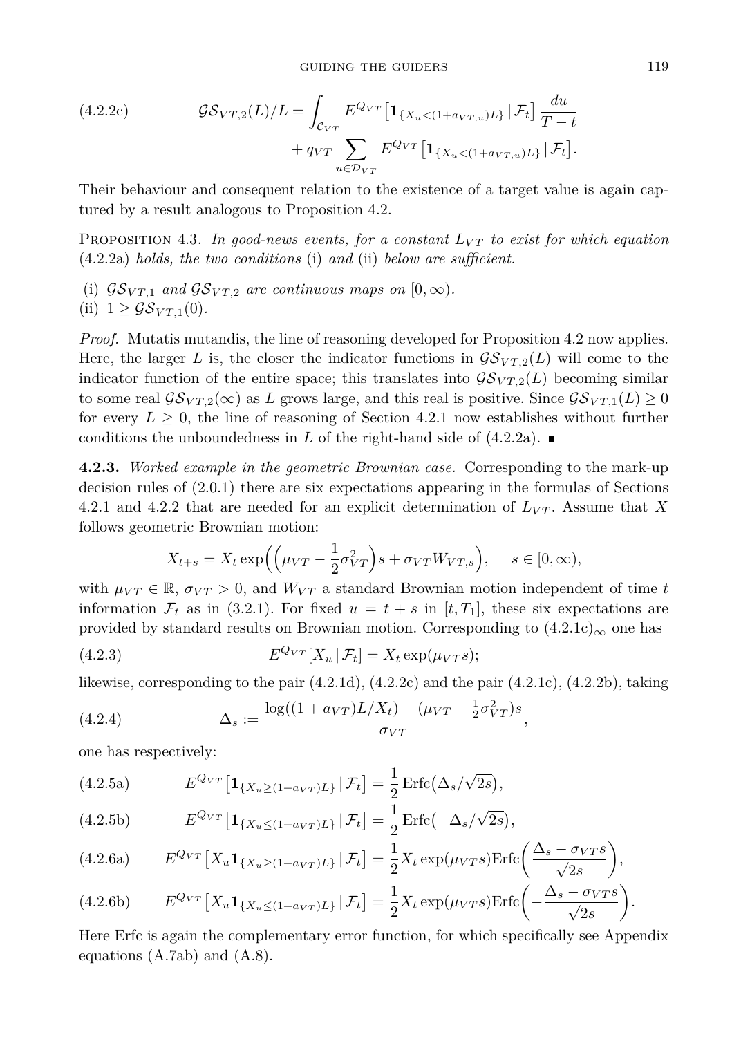(4.2.2c) 
$$
\mathcal{G}\mathcal{S}_{VT,2}(L)/L = \int_{\mathcal{C}_{VT}} E^{Q_{VT}} \left[ \mathbf{1}_{\{X_u < (1 + a_{VT,u})L\}} | \mathcal{F}_t \right] \frac{du}{T - t} + q_{VT} \sum_{u \in \mathcal{D}_{VT}} E^{Q_{VT}} \left[ \mathbf{1}_{\{X_u < (1 + a_{VT,u})L\}} | \mathcal{F}_t \right].
$$

Their behaviour and consequent relation to the existence of a target value is again captured by a result analogous to Proposition 4.2.

PROPOSITION 4.3. In good-news events, for a constant  $L_{VT}$  to exist for which equation (4.2.2a) *holds, the two conditions* (i) *and* (ii) *below are sufficient.*

- (i)  $\mathcal{G}\mathcal{S}_{VT,1}$  and  $\mathcal{G}\mathcal{S}_{VT,2}$  are continuous maps on  $[0,\infty)$ .
- (ii)  $1 \geq \mathcal{GS}_{VT,1}(0)$ .

*Proof.* Mutatis mutandis, the line of reasoning developed for Proposition 4.2 now applies. Here, the larger *L* is, the closer the indicator functions in  $\mathcal{G}\mathcal{S}_{VT,2}(L)$  will come to the indicator function of the entire space; this translates into  $\mathcal{G}S_{VT,2}(L)$  becoming similar to some real  $\mathcal{G}S_{VT,2}(\infty)$  as *L* grows large, and this real is positive. Since  $\mathcal{G}S_{VT,1}(L) \geq 0$ for every  $L \geq 0$ , the line of reasoning of Section 4.2.1 now establishes without further conditions the unboundedness in *L* of the right-hand side of  $(4.2.2a)$ .

**4.2.3.** *Worked example in the geometric Brownian case.* Corresponding to the mark-up decision rules of (2.0.1) there are six expectations appearing in the formulas of Sections 4.2.1 and 4.2.2 that are needed for an explicit determination of *LV T* . Assume that *X* follows geometric Brownian motion:

$$
X_{t+s} = X_t \exp\left(\left(\mu_{VT} - \frac{1}{2}\sigma_{VT}^2\right)s + \sigma_{VT}W_{VT,s}\right), \quad s \in [0, \infty),
$$

with  $\mu_{VT} \in \mathbb{R}$ ,  $\sigma_{VT} > 0$ , and  $W_{VT}$  a standard Brownian motion independent of time *t* information  $\mathcal{F}_t$  as in (3.2.1). For fixed  $u = t + s$  in [t, T<sub>1</sub>], these six expectations are provided by standard results on Brownian motion. Corresponding to  $(4.2.1c)_{\infty}$  one has

(4.2.3) 
$$
E^{Q_{VT}}[X_u \,|\, \mathcal{F}_t] = X_t \exp(\mu_{VT}s);
$$

likewise, corresponding to the pair  $(4.2.1d)$ ,  $(4.2.2c)$  and the pair  $(4.2.1c)$ ,  $(4.2.2b)$ , taking

(4.2.4) 
$$
\Delta_s := \frac{\log((1 + a_{VT})L/X_t) - (\mu_{VT} - \frac{1}{2}\sigma_{VT}^2)s}{\sigma_{VT}},
$$

one has respectively:

(4.2.5a) 
$$
E^{Q_{VT}}\left[\mathbf{1}_{\{X_u \geq (1+a_{VT})L\}} | \mathcal{F}_t\right] = \frac{1}{2} \operatorname{Erfc}\left(\Delta_s/\sqrt{2s}\right),
$$

(4.2.5b) 
$$
E^{Q_{VT}}\left[\mathbf{1}_{\{X_u \leq (1+a_{VT})L\}} | \mathcal{F}_t\right] = \frac{1}{2} \operatorname{Erfc}(-\Delta_s/\sqrt{2s}),
$$

(4.2.6a) 
$$
E^{Q_{VT}}\left[X_u \mathbf{1}_{\{X_u \geq (1+a_{VT})L\}} | \mathcal{F}_t\right] = \frac{1}{2} X_t \exp(\mu_{VT} s) \text{Erfc}\left(\frac{\Delta_s - \sigma_{VT} s}{\sqrt{2s}}\right),
$$

(4.2.6b) 
$$
E^{Q_{VT}}\left[X_u \mathbf{1}_{\{X_u \leq (1+a_{VT})L\}} | \mathcal{F}_t\right] = \frac{1}{2} X_t \exp(\mu_{VT}s) \text{Erfc}\left(-\frac{\Delta_s - \sigma_{VT}s}{\sqrt{2s}}\right).
$$

Here Erfc is again the complementary error function, for which specifically see Appendix equations (A.7ab) and (A.8).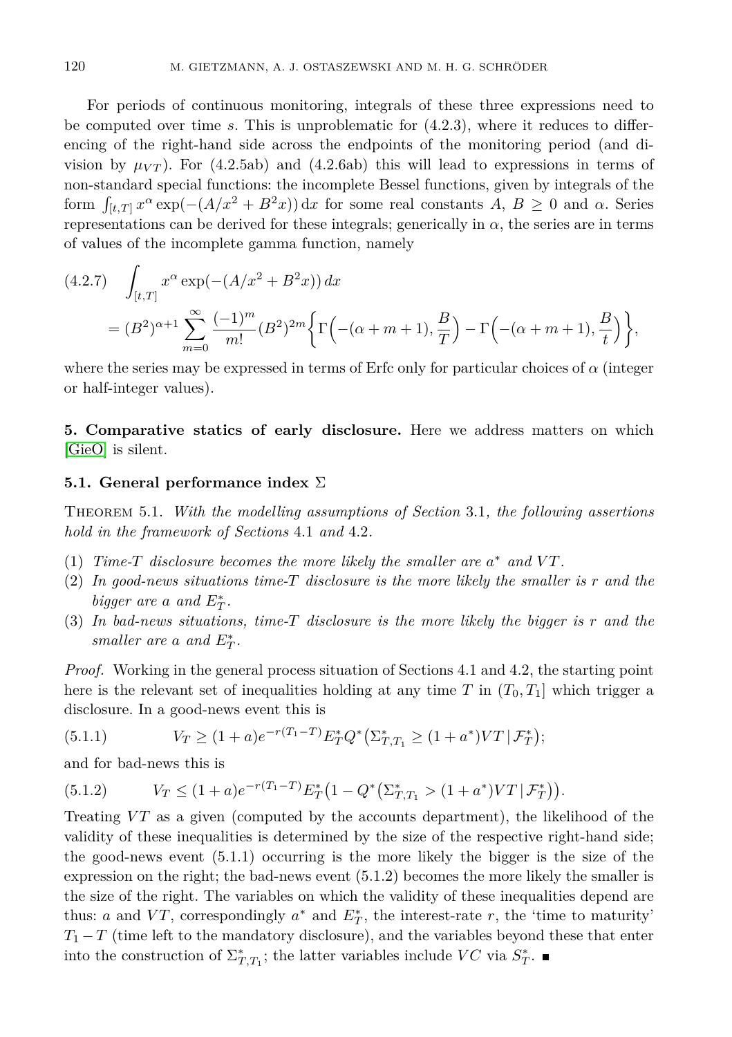For periods of continuous monitoring, integrals of these three expressions need to be computed over time *s*. This is unproblematic for (4.2.3), where it reduces to differencing of the right-hand side across the endpoints of the monitoring period (and division by  $\mu_{VT}$ ). For (4.2.5ab) and (4.2.6ab) this will lead to expressions in terms of non-standard special functions: the incomplete Bessel functions, given by integrals of the form  $\int_{[t,T]} x^{\alpha} \exp(-(A/x^2 + B^2x)) \,dx$  for some real constants  $A, B \ge 0$  and  $\alpha$ . Series representations can be derived for these integrals; generically in  $\alpha$ , the series are in terms of values of the incomplete gamma function, namely

$$
(4.2.7) \quad \int_{[t,T]} x^{\alpha} \exp(-(A/x^2 + B^2x)) dx
$$
  
=  $(B^2)^{\alpha+1} \sum_{m=0}^{\infty} \frac{(-1)^m}{m!} (B^2)^{2m} \left\{ \Gamma\left(-(\alpha+m+1), \frac{B}{T}\right) - \Gamma\left(-(\alpha+m+1), \frac{B}{t}\right) \right\},$ 

where the series may be expressed in terms of Erfc only for particular choices of *α* (integer or half-integer values).

**5. Comparative statics of early disclosure.** Here we address matters on which [\[GieO\]](#page-25-3) is silent.

### **5.1. General performance index** Σ

Theorem 5.1. *With the modelling assumptions of Section* 3.1*, the following assertions hold in the framework of Sections* 4.1 *and* 4.2*.*

- (1) *Time-T* disclosure becomes the more likely the smaller are  $a^*$  and  $VT$ .
- (2) *In good-news situations time-T disclosure is the more likely the smaller is r and the bigger are a and*  $E_T^*$ .
- (3) *In bad-news situations, time-T disclosure is the more likely the bigger is r and the smaller are a and*  $E_T^*$ .

*Proof.* Working in the general process situation of Sections 4.1 and 4.2, the starting point here is the relevant set of inequalities holding at any time *T* in  $(T_0, T_1]$  which trigger a disclosure. In a good-news event this is

(5.1.1) 
$$
V_T \ge (1+a)e^{-r(T_1-T)}E_T^*Q^*(\Sigma_{T,T_1}^* \ge (1+a^*)VT|\mathcal{F}_T^*);
$$

and for bad-news this is

$$
(5.1.2) \tV_T \le (1+a)e^{-r(T_1-T)}E_T^*(1-Q^*(\Sigma_{T,T_1}^*) (1+a^*)VT|\mathcal{F}_T^*)
$$

Treating *VT* as a given (computed by the accounts department), the likelihood of the validity of these inequalities is determined by the size of the respective right-hand side; the good-news event (5.1.1) occurring is the more likely the bigger is the size of the expression on the right; the bad-news event (5.1.2) becomes the more likely the smaller is the size of the right. The variables on which the validity of these inequalities depend are thus: *a* and *VT*, correspondingly  $a^*$  and  $E^*_T$ , the interest-rate *r*, the 'time to maturity'  $T_1 - T$  (time left to the mandatory disclosure), and the variables beyond these that enter into the construction of  $\Sigma_{T,T_1}^*$ ; the latter variables include  $VC$  via  $S_T^*$ .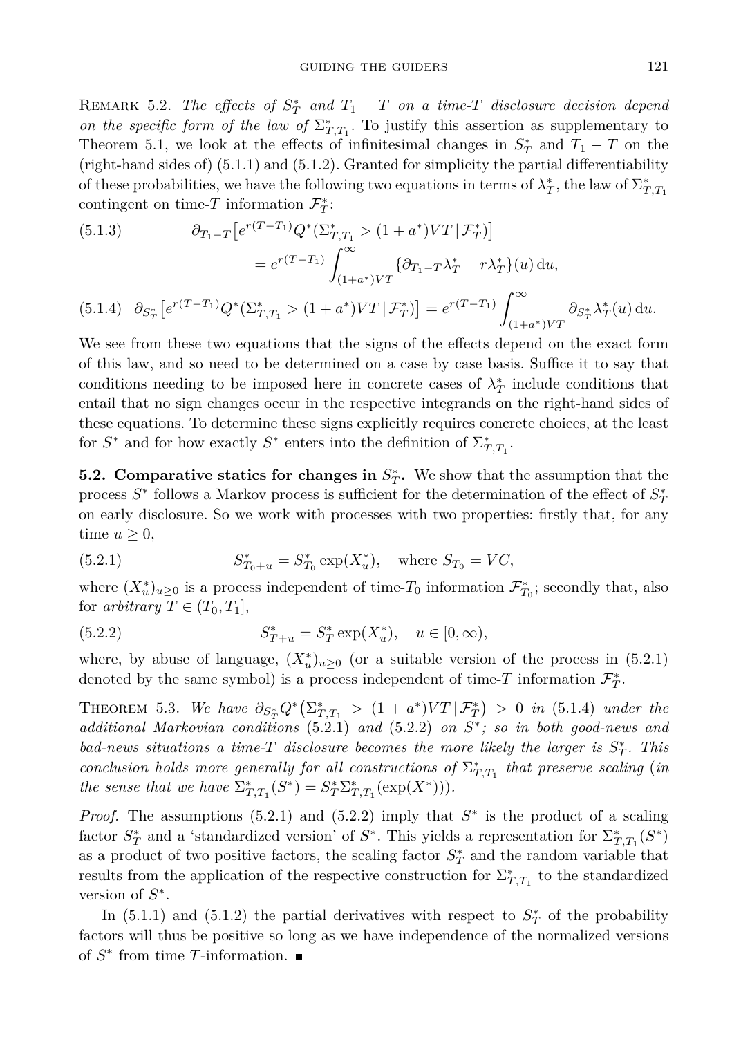REMARK 5.2. *The effects of*  $S_T^*$  *and*  $T_1 - T$  *on a time-T disclosure decision depend on the specific form of the law of*  $\Sigma_{T,T_1}^*$ . To justify this assertion as supplementary to Theorem 5.1, we look at the effects of infinitesimal changes in  $S^*$  and  $T_1 - T$  on the (right-hand sides of) (5.1.1) and (5.1.2). Granted for simplicity the partial differentiability of these probabilities, we have the following two equations in terms of  $\lambda^*_T$ , the law of  $\Sigma^*_{T,T_1}$ contingent on time-*T* information  $\mathcal{F}_T^*$ :

(5.1.3) 
$$
\partial_{T_1-T} \left[ e^{r(T-T_1)} Q^*(\Sigma_{T,T_1}^*) (1+a^*)VT | \mathcal{F}_T^* \right] \n= e^{r(T-T_1)} \int_{(1+a^*)VT}^{\infty} \{ \partial_{T_1-T} \lambda_T^* - r \lambda_T^* \} (u) du, \n(5.1.4) 
$$
\partial_{S_T^*} \left[ e^{r(T-T_1)} Q^*(\Sigma_{T,T_1}^*) (1+a^*)VT | \mathcal{F}_T^* \right] = e^{r(T-T_1)} \int_{(1+a^*)VT}^{\infty} \partial_{S_T^*} \lambda_T^* (u) du.
$$
$$

We see from these two equations that the signs of the effects depend on the exact form of this law, and so need to be determined on a case by case basis. Suffice it to say that conditions needing to be imposed here in concrete cases of  $\lambda_T^*$  include conditions that entail that no sign changes occur in the respective integrands on the right-hand sides of these equations. To determine these signs explicitly requires concrete choices, at the least for  $S^*$  and for how exactly  $S^*$  enters into the definition of  $\Sigma_{T,T_1}^*$ .

**5.2. Comparative statics for changes in**  $S_T^*$ **.** We show that the assumption that the process  $S^*$  follows a Markov process is sufficient for the determination of the effect of  $S^*_7$ on early disclosure. So we work with processes with two properties: firstly that, for any time  $u \geq 0$ ,

(5.2.1) 
$$
S_{T_0+u}^* = S_{T_0}^* \exp(X_u^*), \text{ where } S_{T_0} = VC,
$$

where  $(X_u^*)_{u\geq 0}$  is a process independent of time- $T_0$  information  $\mathcal{F}_{T_0}^*$ ; secondly that, also for *arbitrary*  $T \in (T_0, T_1]$ ,

(5.2.2) 
$$
S_{T+u}^* = S_T^* \exp(X_u^*), \quad u \in [0, \infty),
$$

where, by abuse of language,  $(X_u^*)_{u\geq 0}$  (or a suitable version of the process in (5.2.1) denoted by the same symbol) is a process independent of time- $T$  information  $\mathcal{F}^*_T$ .

THEOREM 5.3. We have  $\partial_{S_T^*} Q^* (\Sigma_{T,T_1}^* > (1 + a^*) V T | \mathcal{F}_T^*) > 0$  in (5.1.4) under the *additional Markovian conditions* (5.2.1) *and* (5.2.2) *on S* ∗ *; so in both good-news and bad-news situations a time-<sup><i>T*</sup> disclosure becomes the more likely the larger is  $S^*$ <sub>*↑</sub></sub>. This*</sub> *conclusion holds more generally for all constructions of*  $\Sigma_{T,T_1}^*$  *that preserve scaling* (*in the sense that we have*  $\Sigma_{T,T_1}^*(S^*) = S_T^* \Sigma_{T,T_1}^*(\exp(X^*))$ .

*Proof.* The assumptions  $(5.2.1)$  and  $(5.2.2)$  imply that  $S^*$  is the product of a scaling factor  $S_T^*$  and a 'standardized version' of  $S^*$ . This yields a representation for  $\Sigma_{T,T_1}^*(S^*)$ as a product of two positive factors, the scaling factor  $S_T^*$  and the random variable that results from the application of the respective construction for  $\Sigma_{T,T_1}^*$  to the standardized version of *S* ∗ .

In (5.1.1) and (5.1.2) the partial derivatives with respect to  $S^*$ <sub>*T*</sub> of the probability factors will thus be positive so long as we have independence of the normalized versions of *S* ∗ from time *T*-information.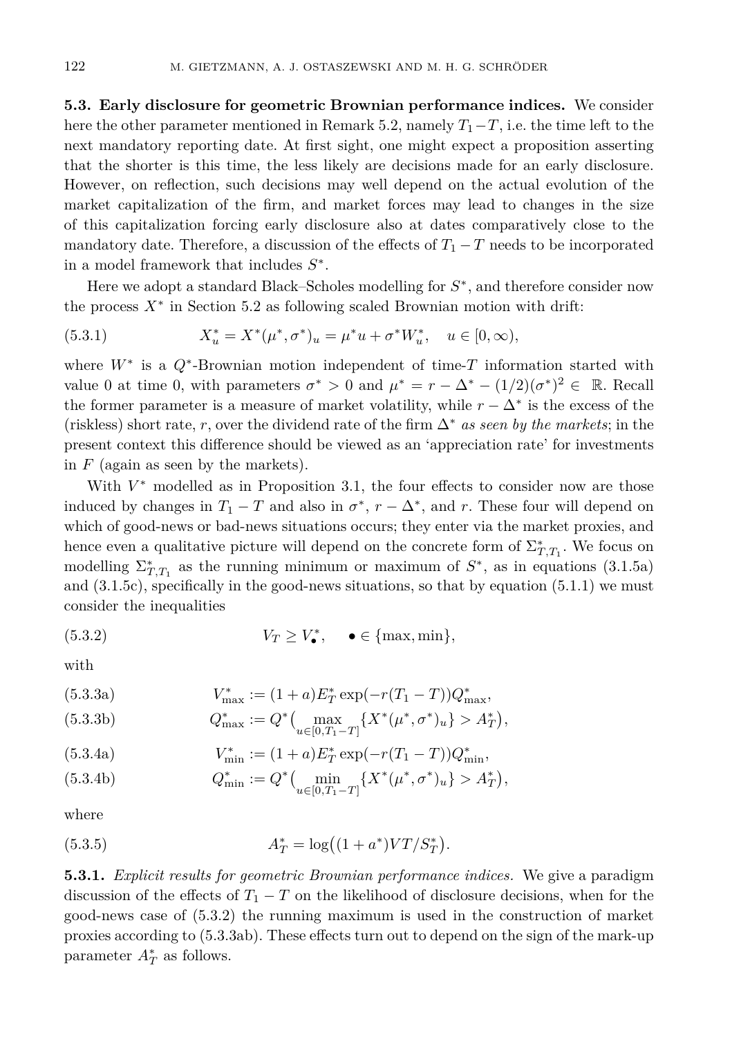**5.3. Early disclosure for geometric Brownian performance indices.** We consider here the other parameter mentioned in Remark 5.2, namely  $T_1-T$ , i.e. the time left to the next mandatory reporting date. At first sight, one might expect a proposition asserting that the shorter is this time, the less likely are decisions made for an early disclosure. However, on reflection, such decisions may well depend on the actual evolution of the market capitalization of the firm, and market forces may lead to changes in the size of this capitalization forcing early disclosure also at dates comparatively close to the mandatory date. Therefore, a discussion of the effects of  $T_1 - T$  needs to be incorporated in a model framework that includes *S* ∗ .

Here we adopt a standard Black–Scholes modelling for  $S^*$ , and therefore consider now the process  $X^*$  in Section 5.2 as following scaled Brownian motion with drift:

(5.3.1) 
$$
X_u^* = X^*(\mu^*, \sigma^*)_u = \mu^* u + \sigma^* W_u^*, \quad u \in [0, \infty),
$$

where *W*<sup>∗</sup> is a *Q*<sup>∗</sup> -Brownian motion independent of time-*T* information started with value 0 at time 0, with parameters  $\sigma^* > 0$  and  $\mu^* = r - \Delta^* - (1/2)(\sigma^*)^2 \in \mathbb{R}$ . Recall the former parameter is a measure of market volatility, while  $r - \Delta^*$  is the excess of the (riskless) short rate, *r*, over the dividend rate of the firm ∆<sup>∗</sup> *as seen by the markets*; in the present context this difference should be viewed as an 'appreciation rate' for investments in *F* (again as seen by the markets).

With  $V^*$  modelled as in Proposition 3.1, the four effects to consider now are those induced by changes in  $T_1 - T$  and also in  $\sigma^*$ ,  $r - \Delta^*$ , and *r*. These four will depend on which of good-news or bad-news situations occurs; they enter via the market proxies, and hence even a qualitative picture will depend on the concrete form of  $\Sigma_{T,T_1}^*$ . We focus on modelling  $\Sigma_{T,T_1}^*$  as the running minimum or maximum of  $S^*$ , as in equations (3.1.5a) and  $(3.1.5c)$ , specifically in the good-news situations, so that by equation  $(5.1.1)$  we must consider the inequalities

(5.3.2) 
$$
V_T \ge V_{\bullet}^*, \quad \bullet \in \{\text{max}, \text{min}\},\
$$

with

(5.3.3a) 
$$
V_{\max}^* := (1+a)E_T^* \exp(-r(T_1 - T))Q_{\max}^*,
$$

(5.3.3b) 
$$
Q_{\max}^* := Q^* \Big( \max_{u \in [0, T_1 - T]} \{ X^* (\mu^*, \sigma^*)_u \} > A_T^* \Big),
$$

(5.3.4a) 
$$
V_{\min}^* := (1+a)E_T^* \exp(-r(T_1 - T))Q_{\min}^*,
$$

(5.3.4b) 
$$
Q_{\min}^* := Q^* \Big( \min_{u \in [0, T_1 - T]} \{ X^* (\mu^*, \sigma^*)_u \} > A_T^* \Big),
$$

where

(5.3.5) 
$$
A_T^* = \log((1 + a^*)VT/S_T^*).
$$

**5.3.1.** *Explicit results for geometric Brownian performance indices.* We give a paradigm discussion of the effects of  $T_1 - T$  on the likelihood of disclosure decisions, when for the good-news case of (5.3.2) the running maximum is used in the construction of market proxies according to (5.3.3ab). These effects turn out to depend on the sign of the mark-up parameter  $A_T^*$  as follows.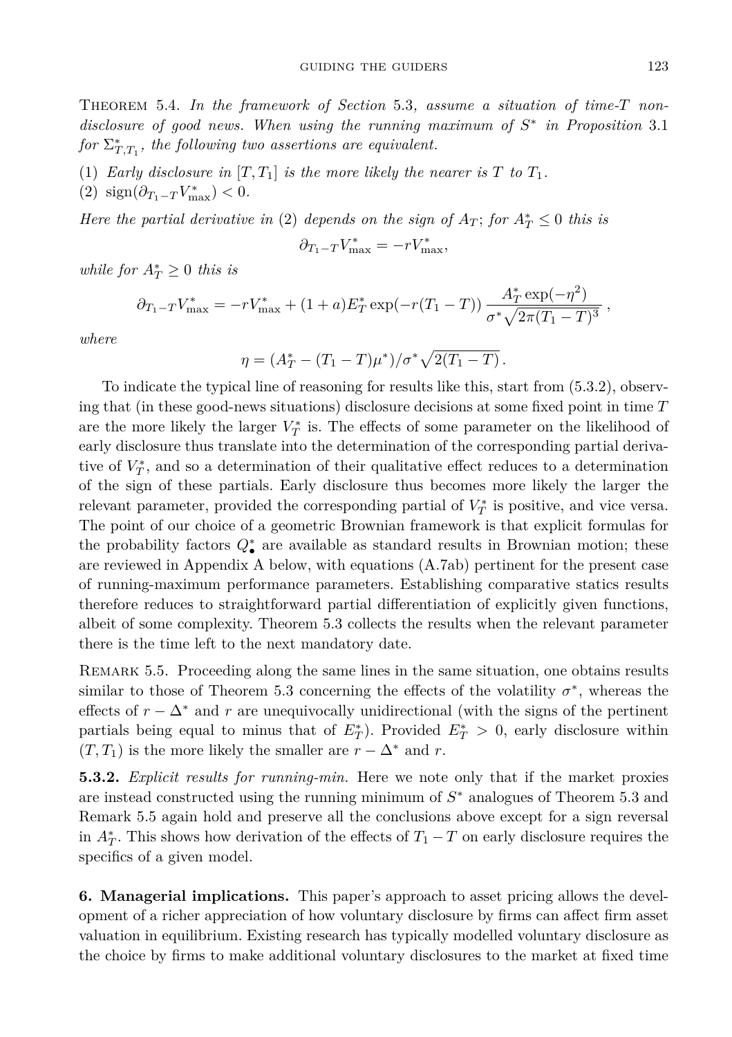Theorem 5.4. *In the framework of Section* 5.3*, assume a situation of time-T nondisclosure of good news. When using the running maximum of S* ∗ *in Proposition* 3.1  $for \Sigma_{T,T_1}^*$ , the following two assertions are equivalent.

- (1) *Early disclosure in*  $[T, T_1]$  *is the more likely the nearer is*  $T$  *to*  $T_1$ *.*
- $(2)$  sign $(\partial_{T_1-T} V_{\text{max}}^*)$  < 0*.*

*Here the partial derivative in* (2) *depends on the sign of*  $A_T$ ; *for*  $A_T^* \leq 0$  *this is* 

$$
\partial_{T_1 - T} V_{\text{max}}^* = -r V_{\text{max}}^*,
$$

*while for*  $A_T^* \geq 0$  *this is* 

$$
\partial_{T_1 - T} V_{\text{max}}^* = -r V_{\text{max}}^* + (1+a) E_T^* \exp(-r(T_1 - T)) \frac{A_T^* \exp(-\eta^2)}{\sigma^* \sqrt{2\pi (T_1 - T)^3}}
$$

*where*

$$
\eta = (A_T^* - (T_1 - T)\mu^*)/\sigma^* \sqrt{2(T_1 - T)}.
$$

To indicate the typical line of reasoning for results like this, start from (5.3.2), observing that (in these good-news situations) disclosure decisions at some fixed point in time *T* are the more likely the larger  $V_T^*$  is. The effects of some parameter on the likelihood of early disclosure thus translate into the determination of the corresponding partial derivative of  $V_T^*$ , and so a determination of their qualitative effect reduces to a determination of the sign of these partials. Early disclosure thus becomes more likely the larger the relevant parameter, provided the corresponding partial of  $V_T^*$  is positive, and vice versa. The point of our choice of a geometric Brownian framework is that explicit formulas for the probability factors  $Q_{\bullet}^*$  are available as standard results in Brownian motion; these are reviewed in Appendix A below, with equations (A.7ab) pertinent for the present case of running-maximum performance parameters. Establishing comparative statics results therefore reduces to straightforward partial differentiation of explicitly given functions, albeit of some complexity. Theorem 5.3 collects the results when the relevant parameter there is the time left to the next mandatory date.

REMARK 5.5. Proceeding along the same lines in the same situation, one obtains results similar to those of Theorem 5.3 concerning the effects of the volatility  $\sigma^*$ , whereas the effects of  $r - \Delta^*$  and  $r$  are unequivocally unidirectional (with the signs of the pertinent partials being equal to minus that of  $E^*_T$ ). Provided  $E^*_T > 0$ , early disclosure within  $(T, T_1)$  is the more likely the smaller are  $r - \Delta^*$  and r.

**5.3.2.** *Explicit results for running-min.* Here we note only that if the market proxies are instead constructed using the running minimum of *S* <sup>∗</sup> analogues of Theorem 5.3 and Remark 5.5 again hold and preserve all the conclusions above except for a sign reversal in  $A_T^*$ . This shows how derivation of the effects of  $T_1 - T$  on early disclosure requires the specifics of a given model.

**6. Managerial implications.** This paper's approach to asset pricing allows the development of a richer appreciation of how voluntary disclosure by firms can affect firm asset valuation in equilibrium. Existing research has typically modelled voluntary disclosure as the choice by firms to make additional voluntary disclosures to the market at fixed time

*,*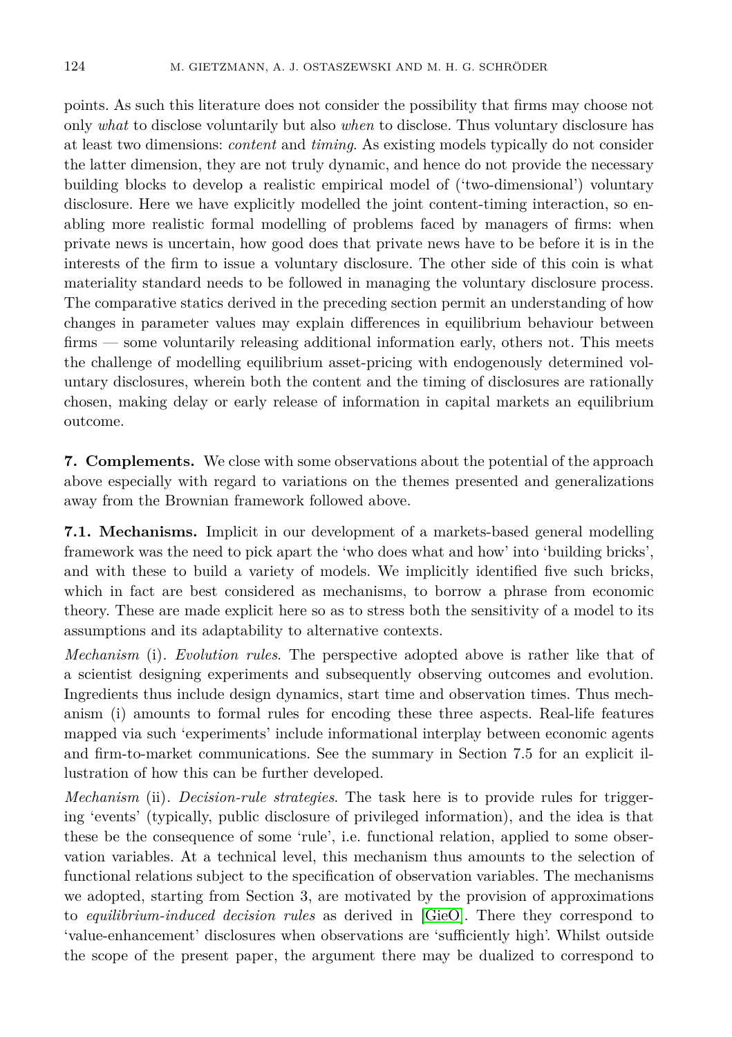points. As such this literature does not consider the possibility that firms may choose not only *what* to disclose voluntarily but also *when* to disclose. Thus voluntary disclosure has at least two dimensions: *content* and *timing*. As existing models typically do not consider the latter dimension, they are not truly dynamic, and hence do not provide the necessary building blocks to develop a realistic empirical model of ('two-dimensional') voluntary disclosure. Here we have explicitly modelled the joint content-timing interaction, so enabling more realistic formal modelling of problems faced by managers of firms: when private news is uncertain, how good does that private news have to be before it is in the interests of the firm to issue a voluntary disclosure. The other side of this coin is what materiality standard needs to be followed in managing the voluntary disclosure process. The comparative statics derived in the preceding section permit an understanding of how changes in parameter values may explain differences in equilibrium behaviour between firms — some voluntarily releasing additional information early, others not. This meets the challenge of modelling equilibrium asset-pricing with endogenously determined voluntary disclosures, wherein both the content and the timing of disclosures are rationally chosen, making delay or early release of information in capital markets an equilibrium outcome.

**7. Complements.** We close with some observations about the potential of the approach above especially with regard to variations on the themes presented and generalizations away from the Brownian framework followed above.

**7.1. Mechanisms.** Implicit in our development of a markets-based general modelling framework was the need to pick apart the 'who does what and how' into 'building bricks', and with these to build a variety of models. We implicitly identified five such bricks, which in fact are best considered as mechanisms, to borrow a phrase from economic theory. These are made explicit here so as to stress both the sensitivity of a model to its assumptions and its adaptability to alternative contexts.

*Mechanism* (i)*. Evolution rules*. The perspective adopted above is rather like that of a scientist designing experiments and subsequently observing outcomes and evolution. Ingredients thus include design dynamics, start time and observation times. Thus mechanism (i) amounts to formal rules for encoding these three aspects. Real-life features mapped via such 'experiments' include informational interplay between economic agents and firm-to-market communications. See the summary in Section 7.5 for an explicit illustration of how this can be further developed.

*Mechanism* (ii)*. Decision-rule strategies*. The task here is to provide rules for triggering 'events' (typically, public disclosure of privileged information), and the idea is that these be the consequence of some 'rule', i.e. functional relation, applied to some observation variables. At a technical level, this mechanism thus amounts to the selection of functional relations subject to the specification of observation variables. The mechanisms we adopted, starting from Section 3, are motivated by the provision of approximations to *equilibrium-induced decision rules* as derived in [\[GieO\]](#page-25-3). There they correspond to 'value-enhancement' disclosures when observations are 'sufficiently high'. Whilst outside the scope of the present paper, the argument there may be dualized to correspond to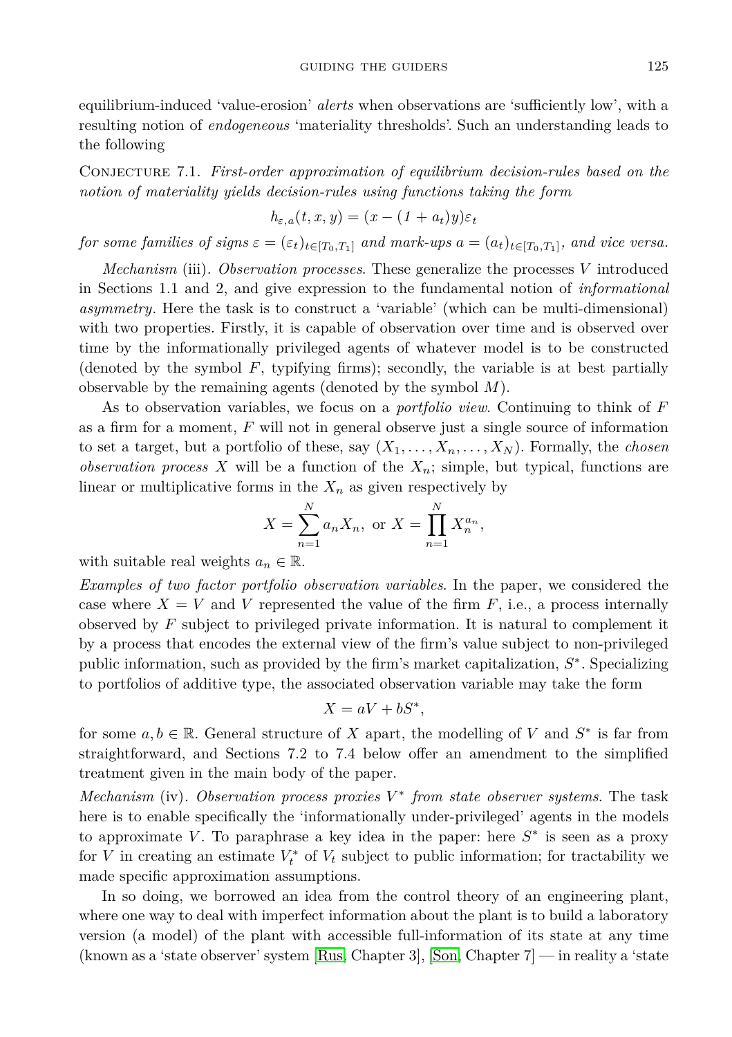equilibrium-induced 'value-erosion' *alerts* when observations are 'sufficiently low', with a resulting notion of *endogeneous* 'materiality thresholds'. Such an understanding leads to the following

Conjecture 7.1. *First-order approximation of equilibrium decision-rules based on the notion of materiality yields decision-rules using functions taking the form*

$$
h_{\varepsilon,a}(t,x,y)=(x-(1+a_t)y)\varepsilon_t
$$

*for some families of signs*  $\varepsilon = (\varepsilon_t)_{t \in [T_0, T_1]}$  *and mark-ups*  $a = (a_t)_{t \in [T_0, T_1]}$ *, and vice versa.* 

*Mechanism* (iii)*. Observation processes*. These generalize the processes *V* introduced in Sections 1.1 and 2, and give expression to the fundamental notion of *informational asymmetry*. Here the task is to construct a 'variable' (which can be multi-dimensional) with two properties. Firstly, it is capable of observation over time and is observed over time by the informationally privileged agents of whatever model is to be constructed (denoted by the symbol *F*, typifying firms); secondly, the variable is at best partially observable by the remaining agents (denoted by the symbol *M*).

As to observation variables, we focus on a *portfolio view*. Continuing to think of *F* as a firm for a moment, *F* will not in general observe just a single source of information to set a target, but a portfolio of these, say  $(X_1, \ldots, X_n, \ldots, X_N)$ . Formally, the *chosen observation process X* will be a function of the *Xn*; simple, but typical, functions are linear or multiplicative forms in the  $X_n$  as given respectively by

$$
X = \sum_{n=1}^{N} a_n X_n, \text{ or } X = \prod_{n=1}^{N} X_n^{a_n},
$$

with suitable real weights  $a_n \in \mathbb{R}$ .

*Examples of two factor portfolio observation variables*. In the paper, we considered the case where  $X = V$  and V represented the value of the firm  $F$ , i.e., a process internally observed by *F* subject to privileged private information. It is natural to complement it by a process that encodes the external view of the firm's value subject to non-privileged public information, such as provided by the firm's market capitalization,  $S^*$ . Specializing to portfolios of additive type, the associated observation variable may take the form

$$
X = aV + bS^*,
$$

for some  $a, b \in \mathbb{R}$ . General structure of *X* apart, the modelling of *V* and  $S^*$  is far from straightforward, and Sections 7.2 to 7.4 below offer an amendment to the simplified treatment given in the main body of the paper.

*Mechanism* (iv). Observation process proxies  $V^*$  from state observer systems. The task here is to enable specifically the 'informationally under-privileged' agents in the models to approximate *V*. To paraphrase a key idea in the paper: here  $S^*$  is seen as a proxy for *V* in creating an estimate  $V_t^*$  of  $V_t$  subject to public information; for tractability we made specific approximation assumptions.

In so doing, we borrowed an idea from the control theory of an engineering plant, where one way to deal with imperfect information about the plant is to build a laboratory version (a model) of the plant with accessible full-information of its state at any time (known as a 'state observer' system [\[Rus,](#page-25-6) Chapter 3], [\[Son,](#page-25-7) Chapter 7] — in reality a 'state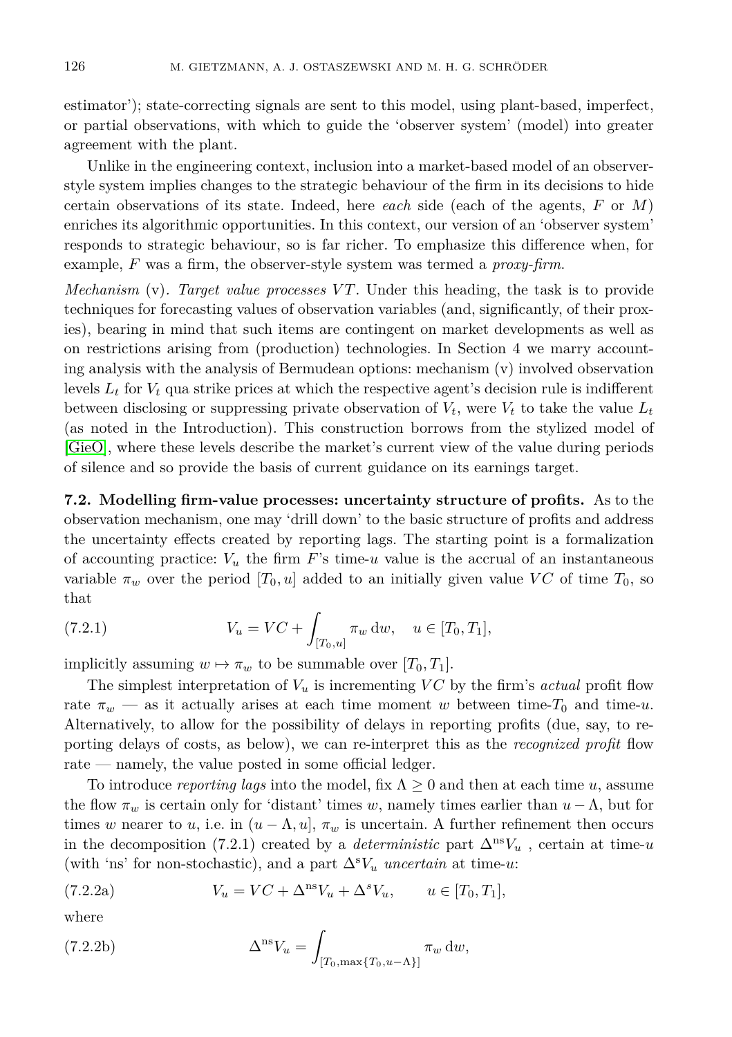estimator'); state-correcting signals are sent to this model, using plant-based, imperfect, or partial observations, with which to guide the 'observer system' (model) into greater agreement with the plant.

Unlike in the engineering context, inclusion into a market-based model of an observerstyle system implies changes to the strategic behaviour of the firm in its decisions to hide certain observations of its state. Indeed, here *each* side (each of the agents, *F* or *M*) enriches its algorithmic opportunities. In this context, our version of an 'observer system' responds to strategic behaviour, so is far richer. To emphasize this difference when, for example, *F* was a firm, the observer-style system was termed a *proxy-firm*.

*Mechanism* (v). Target value processes VT. Under this heading, the task is to provide techniques for forecasting values of observation variables (and, significantly, of their proxies), bearing in mind that such items are contingent on market developments as well as on restrictions arising from (production) technologies. In Section 4 we marry accounting analysis with the analysis of Bermudean options: mechanism (v) involved observation levels *L<sup>t</sup>* for *V<sup>t</sup>* qua strike prices at which the respective agent's decision rule is indifferent between disclosing or suppressing private observation of  $V_t$ , were  $V_t$  to take the value  $L_t$ (as noted in the Introduction). This construction borrows from the stylized model of [\[GieO\]](#page-25-3), where these levels describe the market's current view of the value during periods of silence and so provide the basis of current guidance on its earnings target.

**7.2. Modelling firm-value processes: uncertainty structure of profits.** As to the observation mechanism, one may 'drill down' to the basic structure of profits and address the uncertainty effects created by reporting lags. The starting point is a formalization of accounting practice:  $V_u$  the firm  $F$ 's time- $u$  value is the accrual of an instantaneous variable  $\pi_w$  over the period  $[T_0, u]$  added to an initially given value VC of time  $T_0$ , so that

(7.2.1) 
$$
V_u = VC + \int_{[T_0, u]} \pi_w dw, \quad u \in [T_0, T_1],
$$

implicitly assuming  $w \mapsto \pi_w$  to be summable over  $[T_0, T_1]$ .

The simplest interpretation of  $V_u$  is incrementing  $VC$  by the firm's *actual* profit flow rate  $\pi_w$  — as it actually arises at each time moment *w* between time-*T*<sub>0</sub> and time-*u*. Alternatively, to allow for the possibility of delays in reporting profits (due, say, to reporting delays of costs, as below), we can re-interpret this as the *recognized profit* flow rate — namely, the value posted in some official ledger.

To introduce *reporting lags* into the model, fix Λ ≥ 0 and then at each time *u*, assume the flow  $\pi_w$  is certain only for 'distant' times *w*, namely times earlier than  $u - \Lambda$ , but for times *w* nearer to *u*, i.e. in  $(u - \Lambda, u]$ ,  $\pi_w$  is uncertain. A further refinement then occurs in the decomposition (7.2.1) created by a *deterministic* part  $\Delta^{ns}V_u$ , certain at time-*u* (with 'ns' for non-stochastic), and a part  $\Delta^s V_u$  *uncertain* at time-*u*:

(7.2.2a) 
$$
V_u = VC + \Delta^{ns} V_u + \Delta^{s} V_u, \qquad u \in [T_0, T_1],
$$

where

(7.2.2b) 
$$
\Delta^{\rm ns} V_u = \int_{[T_0, \max\{T_0, u-\Lambda\}]} \pi_w \, \mathrm{d}w,
$$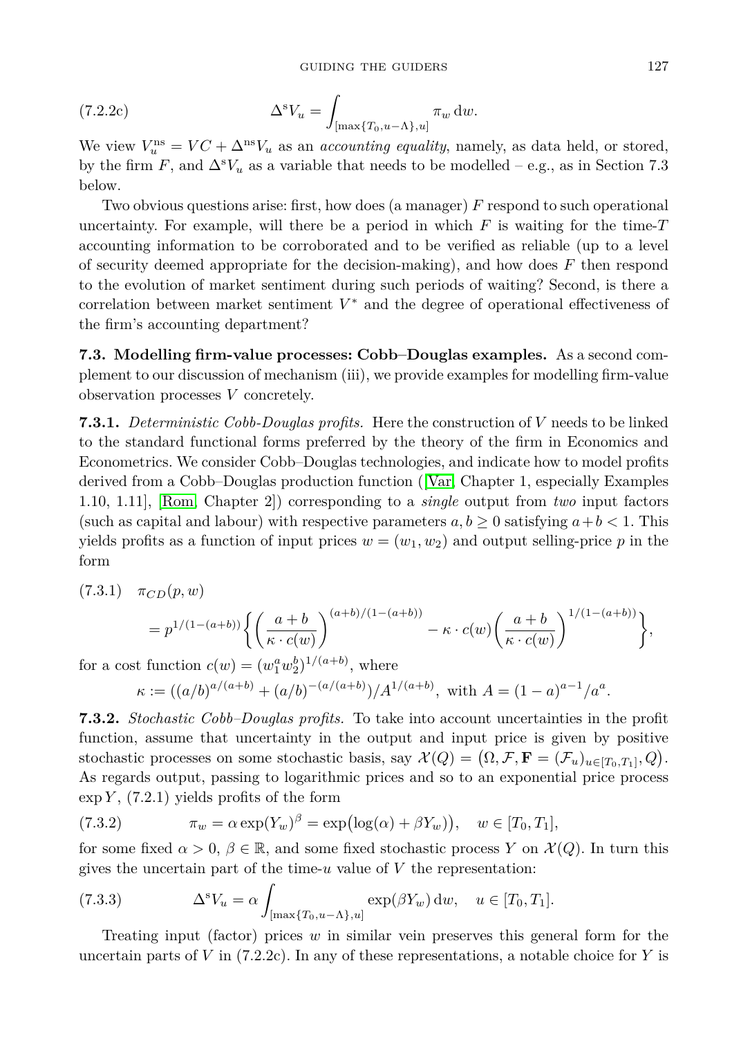(7.2.2c) 
$$
\Delta^s V_u = \int_{\left[\max\{T_0, u-\Lambda\}, u\right]} \pi_w \, \mathrm{d}w.
$$

We view  $V_u^{\text{ns}} = VC + \Delta^{\text{ns}}V_u$  as an *accounting equality*, namely, as data held, or stored, by the firm *F*, and  $\Delta^s V_u$  as a variable that needs to be modelled – e.g., as in Section 7.3 below.

Two obvious questions arise: first, how does (a manager) *F* respond to such operational uncertainty. For example, will there be a period in which  $F$  is waiting for the time- $T$ accounting information to be corroborated and to be verified as reliable (up to a level of security deemed appropriate for the decision-making), and how does *F* then respond to the evolution of market sentiment during such periods of waiting? Second, is there a correlation between market sentiment *V* <sup>∗</sup> and the degree of operational effectiveness of the firm's accounting department?

**7.3. Modelling firm-value processes: Cobb–Douglas examples.** As a second complement to our discussion of mechanism (iii), we provide examples for modelling firm-value observation processes *V* concretely.

**7.3.1.** *Deterministic Cobb-Douglas profits.* Here the construction of *V* needs to be linked to the standard functional forms preferred by the theory of the firm in Economics and Econometrics. We consider Cobb–Douglas technologies, and indicate how to model profits derived from a Cobb–Douglas production function ([\[Var,](#page-25-8) Chapter 1, especially Examples 1.10, 1.11], [\[Rom,](#page-25-9) Chapter 2]) corresponding to a *single* output from *two* input factors (such as capital and labour) with respective parameters  $a, b \ge 0$  satisfying  $a + b < 1$ . This yields profits as a function of input prices  $w = (w_1, w_2)$  and output selling-price p in the form

$$
(7.3.1) \quad \pi_{CD}(p, w)
$$

$$
=p^{1/(1-(a+b))}\bigg\{\bigg(\frac{a+b}{\kappa\cdot c(w)}\bigg)^{(a+b)/(1-(a+b))}-\kappa\cdot c(w)\bigg(\frac{a+b}{\kappa\cdot c(w)}\bigg)^{1/(1-(a+b))}\bigg\},
$$

for a cost function  $c(w) = (w_1^a w_2^b)^{1/(a+b)}$ , where

$$
\kappa := ((a/b)^{a/(a+b)} + (a/b)^{-(a/(a+b)})/A^{1/(a+b)},
$$
 with  $A = (1-a)^{a-1}/a^a$ .

**7.3.2.** *Stochastic Cobb–Douglas profits.* To take into account uncertainties in the profit function, assume that uncertainty in the output and input price is given by positive stochastic processes on some stochastic basis, say  $\mathcal{X}(Q) = (\Omega, \mathcal{F}, \mathbf{F} = (\mathcal{F}_u)_{u \in [T_0, T_1]}, Q)$ . As regards output, passing to logarithmic prices and so to an exponential price process  $\exp Y$ , (7.2.1) yields profits of the form

(7.3.2) 
$$
\pi_w = \alpha \exp(Y_w)^\beta = \exp(\log(\alpha) + \beta Y_w)), \quad w \in [T_0, T_1],
$$

for some fixed  $\alpha > 0$ ,  $\beta \in \mathbb{R}$ , and some fixed stochastic process *Y* on  $\mathcal{X}(Q)$ . In turn this gives the uncertain part of the time-*u* value of *V* the representation:

(7.3.3) 
$$
\Delta^s V_u = \alpha \int_{[\max\{T_0, u - \Lambda\}, u]} \exp(\beta Y_w) dw, \quad u \in [T_0, T_1].
$$

Treating input (factor) prices *w* in similar vein preserves this general form for the uncertain parts of *V* in (7.2.2c). In any of these representations, a notable choice for *Y* is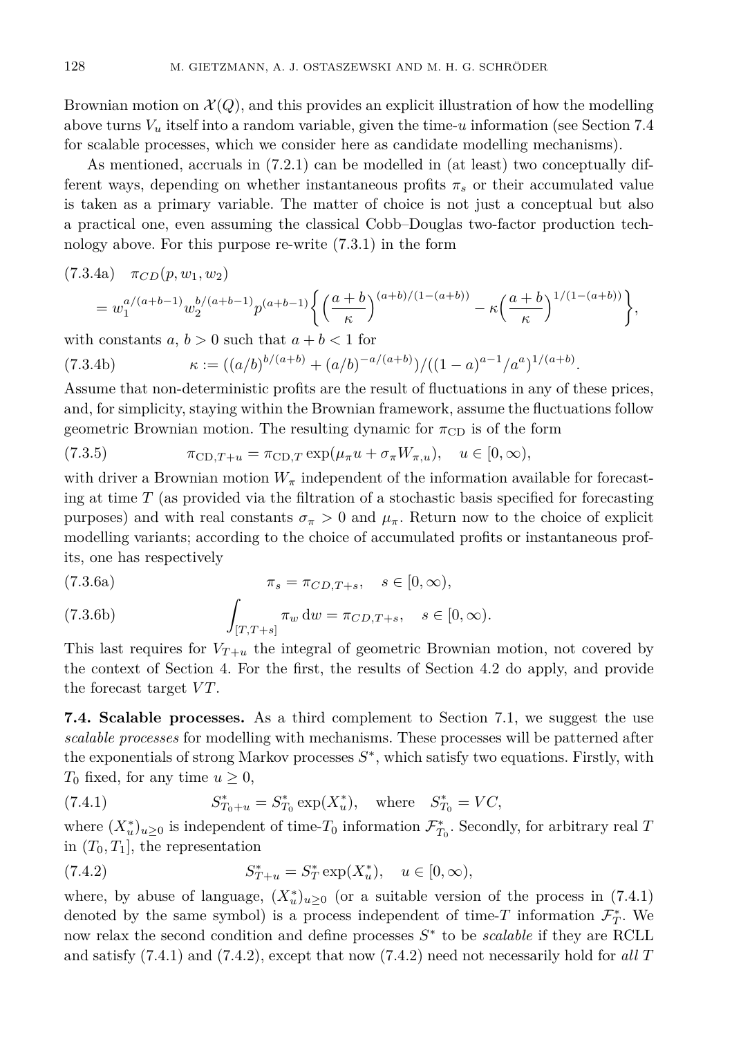Brownian motion on  $\mathcal{X}(Q)$ , and this provides an explicit illustration of how the modelling above turns *V<sup>u</sup>* itself into a random variable, given the time-*u* information (see Section 7.4 for scalable processes, which we consider here as candidate modelling mechanisms).

As mentioned, accruals in (7.2.1) can be modelled in (at least) two conceptually different ways, depending on whether instantaneous profits  $\pi_s$  or their accumulated value is taken as a primary variable. The matter of choice is not just a conceptual but also a practical one, even assuming the classical Cobb–Douglas two-factor production technology above. For this purpose re-write (7.3.1) in the form

$$
(7.3.4a) \quad \pi_{CD}(p, w_1, w_2)
$$
  
=  $w_1^{a/(a+b-1)} w_2^{b/(a+b-1)} p^{(a+b-1)} \left\{ \left( \frac{a+b}{\kappa} \right)^{(a+b)/(1-(a+b))} - \kappa \left( \frac{a+b}{\kappa} \right)^{1/(1-(a+b))} \right\},$ 

with constants  $a, b > 0$  such that  $a + b < 1$  for

(7.3.4b) 
$$
\kappa := ((a/b)^{b/(a+b)} + (a/b)^{-a/(a+b)})/((1-a)^{a-1}/a^a)^{1/(a+b)}.
$$

Assume that non-deterministic profits are the result of fluctuations in any of these prices, and, for simplicity, staying within the Brownian framework, assume the fluctuations follow geometric Brownian motion. The resulting dynamic for  $\pi_{CD}$  is of the form

(7.3.5) 
$$
\pi_{\text{CD},T+u} = \pi_{\text{CD},T} \exp(\mu_{\pi} u + \sigma_{\pi} W_{\pi,u}), \quad u \in [0,\infty),
$$

with driver a Brownian motion  $W_{\pi}$  independent of the information available for forecasting at time *T* (as provided via the filtration of a stochastic basis specified for forecasting purposes) and with real constants  $\sigma_{\pi} > 0$  and  $\mu_{\pi}$ . Return now to the choice of explicit modelling variants; according to the choice of accumulated profits or instantaneous profits, one has respectively

(7.3.6a)  
\n
$$
\pi_s = \pi_{CD,T+s}, \quad s \in [0, \infty),
$$
\n(7.3.6b)  
\n
$$
\int_{[T,T+s]} \pi_w \, dw = \pi_{CD,T+s}, \quad s \in [0, \infty).
$$

This last requires for  $V_{\mathcal{T}+\mathcal{U}}$  the integral of geometric Brownian motion, not covered by the context of Section 4. For the first, the results of Section 4.2 do apply, and provide the forecast target *VT*.

**7.4. Scalable processes.** As a third complement to Section 7.1, we suggest the use *scalable processes* for modelling with mechanisms. These processes will be patterned after the exponentials of strong Markov processes *S* ∗ , which satisfy two equations. Firstly, with  $T_0$  fixed, for any time  $u \geq 0$ ,

(7.4.1) 
$$
S_{T_0+u}^* = S_{T_0}^* \exp(X_u^*), \text{ where } S_{T_0}^* = VC,
$$

where  $(X_u^*)_{u\geq 0}$  is independent of time- $T_0$  information  $\mathcal{F}_{T_0}^*$ . Secondly, for arbitrary real *T* in  $(T_0, T_1]$ , the representation

(7.4.2) 
$$
S_{T+u}^* = S_T^* \exp(X_u^*), \quad u \in [0, \infty),
$$

where, by abuse of language,  $(X_u^*)_{u\geq 0}$  (or a suitable version of the process in (7.4.1) denoted by the same symbol) is a process independent of time- $T$  information  $\mathcal{F}_T^*$ . We now relax the second condition and define processes *S* ∗ to be *scalable* if they are RCLL and satisfy (7.4.1) and (7.4.2), except that now (7.4.2) need not necessarily hold for *all T*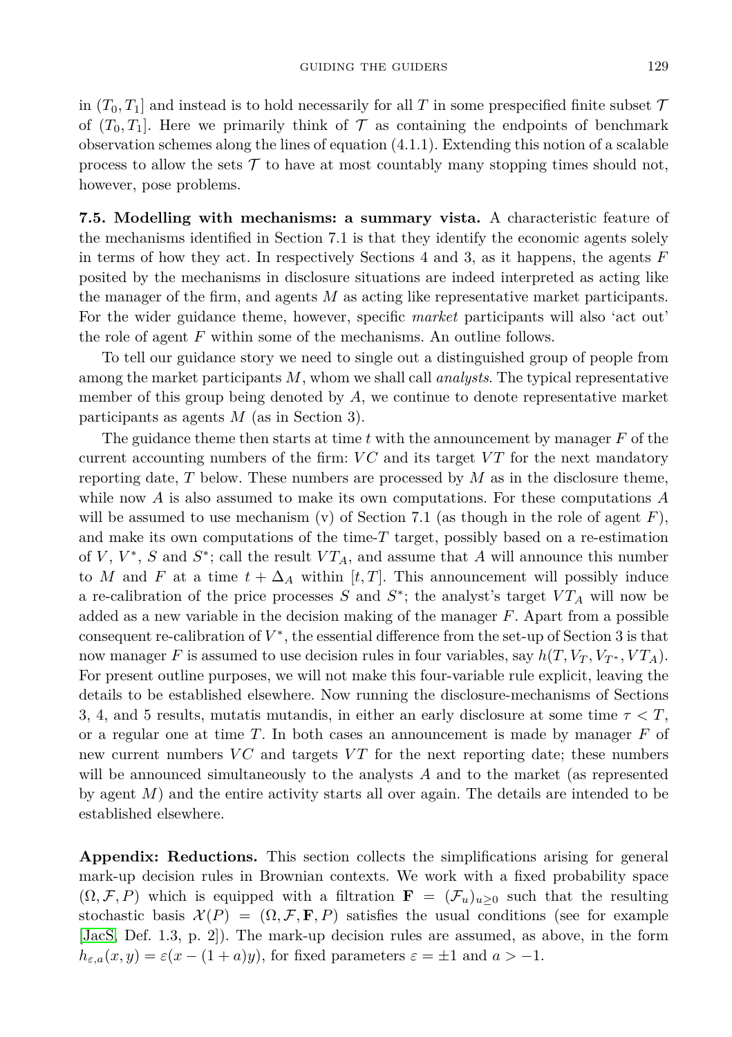in  $(T_0, T_1]$  and instead is to hold necessarily for all T in some prespecified finite subset  $\mathcal T$ of  $(T_0, T_1]$ . Here we primarily think of  $\mathcal T$  as containing the endpoints of benchmark observation schemes along the lines of equation (4.1.1). Extending this notion of a scalable process to allow the sets  $\mathcal T$  to have at most countably many stopping times should not, however, pose problems.

**7.5. Modelling with mechanisms: a summary vista.** A characteristic feature of the mechanisms identified in Section 7.1 is that they identify the economic agents solely in terms of how they act. In respectively Sections 4 and 3, as it happens, the agents *F* posited by the mechanisms in disclosure situations are indeed interpreted as acting like the manager of the firm, and agents *M* as acting like representative market participants. For the wider guidance theme, however, specific *market* participants will also 'act out' the role of agent *F* within some of the mechanisms. An outline follows.

To tell our guidance story we need to single out a distinguished group of people from among the market participants *M*, whom we shall call *analysts*. The typical representative member of this group being denoted by *A*, we continue to denote representative market participants as agents *M* (as in Section 3).

The guidance theme then starts at time *t* with the announcement by manager *F* of the current accounting numbers of the firm: *VC* and its target *VT* for the next mandatory reporting date, *T* below. These numbers are processed by *M* as in the disclosure theme, while now *A* is also assumed to make its own computations. For these computations *A* will be assumed to use mechanism (v) of Section 7.1 (as though in the role of agent  $F$ ), and make its own computations of the time-*T* target, possibly based on a re-estimation of *V* , *V* ∗ , *S* and *S* ∗ ; call the result *V TA*, and assume that *A* will announce this number to *M* and *F* at a time  $t + \Delta_A$  within [*t,T*]. This announcement will possibly induce a re-calibration of the price processes  $S$  and  $S^*$ ; the analyst's target  $VT_A$  will now be added as a new variable in the decision making of the manager *F*. Apart from a possible consequent re-calibration of  $V^*$ , the essential difference from the set-up of Section 3 is that now manager F is assumed to use decision rules in four variables, say  $h(T, V_T, V_{T^*}, VT_A)$ . For present outline purposes, we will not make this four-variable rule explicit, leaving the details to be established elsewhere. Now running the disclosure-mechanisms of Sections 3, 4, and 5 results, mutatis mutandis, in either an early disclosure at some time *τ < T*, or a regular one at time *T*. In both cases an announcement is made by manager *F* of new current numbers *VC* and targets *VT* for the next reporting date; these numbers will be announced simultaneously to the analysts *A* and to the market (as represented by agent *M*) and the entire activity starts all over again. The details are intended to be established elsewhere.

**Appendix: Reductions.** This section collects the simplifications arising for general mark-up decision rules in Brownian contexts. We work with a fixed probability space  $(\Omega, \mathcal{F}, P)$  which is equipped with a filtration **F** =  $(\mathcal{F}_u)_{u>0}$  such that the resulting stochastic basis  $\mathcal{X}(P) = (\Omega, \mathcal{F}, \mathbf{F}, P)$  satisfies the usual conditions (see for example [\[JacS,](#page-25-10) Def. 1.3, p. 2]). The mark-up decision rules are assumed, as above, in the form  $h_{\varepsilon,a}(x,y) = \varepsilon(x-(1+a)y)$ , for fixed parameters  $\varepsilon = \pm 1$  and  $a > -1$ .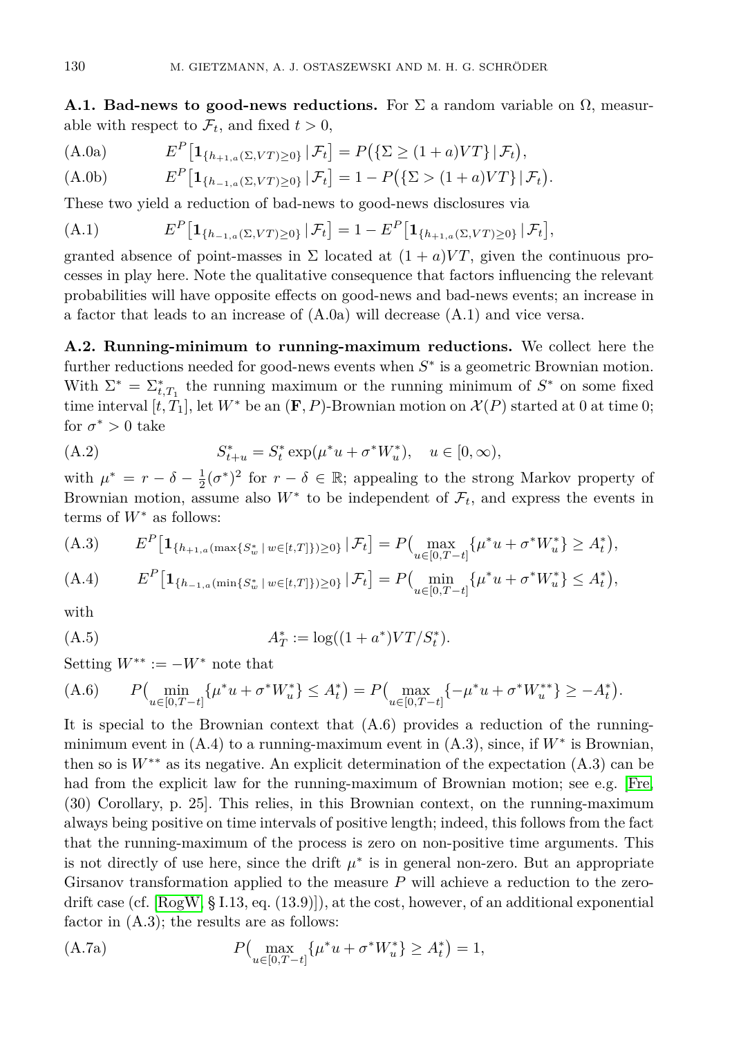**A.1. Bad-news to good-news reductions.** For  $\Sigma$  a random variable on  $\Omega$ , measurable with respect to  $\mathcal{F}_t$ , and fixed  $t > 0$ ,

(A.0a) 
$$
E^{P}[\mathbf{1}_{\{h_{+1,a}(\Sigma, VT) \ge 0\}} | \mathcal{F}_{t}] = P(\{\Sigma \ge (1+a)VT\} | \mathcal{F}_{t}),
$$

(A.0b) 
$$
E^{P}[\mathbf{1}_{\{h_{-1,a}(\Sigma, VT) \geq 0\}} | \mathcal{F}_{t}] = 1 - P(\{\Sigma > (1+a)VT\} | \mathcal{F}_{t}).
$$

These two yield a reduction of bad-news to good-news disclosures via

(A.1) 
$$
E^{P}[\mathbf{1}_{\{h_{-1,a}(\Sigma, VT) \geq 0\}} | \mathcal{F}_{t}] = 1 - E^{P}[\mathbf{1}_{\{h_{+1,a}(\Sigma, VT) \geq 0\}} | \mathcal{F}_{t}],
$$

granted absence of point-masses in  $\Sigma$  located at  $(1 + a)VT$ , given the continuous processes in play here. Note the qualitative consequence that factors influencing the relevant probabilities will have opposite effects on good-news and bad-news events; an increase in a factor that leads to an increase of  $(A.0a)$  will decrease  $(A.1)$  and vice versa.

**A.2. Running-minimum to running-maximum reductions.** We collect here the further reductions needed for good-news events when  $S^*$  is a geometric Brownian motion. With  $\Sigma^* = \Sigma_{t,T_1}^*$  the running maximum or the running minimum of  $S^*$  on some fixed time interval  $[t, T_1]$ , let  $W^*$  be an  $(\mathbf{F}, P)$ -Brownian motion on  $\mathcal{X}(P)$  started at 0 at time 0; for  $\sigma^* > 0$  take

(A.2) 
$$
S_{t+u}^* = S_t^* \exp(\mu^* u + \sigma^* W_u^*), \quad u \in [0, \infty),
$$

with  $\mu^* = r - \delta - \frac{1}{2}(\sigma^*)^2$  for  $r - \delta \in \mathbb{R}$ ; appealing to the strong Markov property of Brownian motion, assume also  $W^*$  to be independent of  $\mathcal{F}_t$ , and express the events in terms of *W*<sup>∗</sup> as follows:

$$
(A.3) \t EP[1{h_{+1,a}(\max\{S_w^*\mid w\in[t,T]\})\geq 0\}}|\mathcal{F}_t] = P(\max_{u\in[0,T-t]}\{\mu^*u + \sigma^*W_u^*\} \geq A_t^*),
$$

(A.4) 
$$
E^P[\mathbf{1}_{\{h_{-1,a}(\min\{S_w^*\mid w\in[t,T]\}\geq 0\}}|\mathcal{F}_t] = P\Big(\min_{u\in[0,T-t]}\{\mu^*u + \sigma^*W_u^*\}\leq A_t^*\Big),
$$

with

(A.5) 
$$
A_T^* := \log((1 + a^*)VT/S_t^*).
$$

Setting  $W^{**} := -W^*$  note that

(A.6) 
$$
P\left(\min_{u \in [0,T-t]} \{\mu^* u + \sigma^* W_u^*\} \le A_t^*\right) = P\left(\max_{u \in [0,T-t]} \{-\mu^* u + \sigma^* W_u^{**}\} \ge -A_t^*\right).
$$

It is special to the Brownian context that  $(A.6)$  provides a reduction of the runningminimum event in  $(A.4)$  to a running-maximum event in  $(A.3)$ , since, if  $W^*$  is Brownian, then so is  $W^{**}$  as its negative. An explicit determination of the expectation  $(A.3)$  can be had from the explicit law for the running-maximum of Brownian motion; see e.g. [\[Fre,](#page-25-11) (30) Corollary, p. 25]. This relies, in this Brownian context, on the running-maximum always being positive on time intervals of positive length; indeed, this follows from the fact that the running-maximum of the process is zero on non-positive time arguments. This is not directly of use here, since the drift  $\mu^*$  is in general non-zero. But an appropriate Girsanov transformation applied to the measure *P* will achieve a reduction to the zerodrift case (cf.  $[\text{RogW}, \S 1.13, \text{eq.} (13.9)]$ ), at the cost, however, of an additional exponential factor in  $(A.3)$ ; the results are as follows:

(A.7a) 
$$
P\left(\max_{u \in [0,T-t]} \{ \mu^* u + \sigma^* W_u^* \} \ge A_t^* \right) = 1,
$$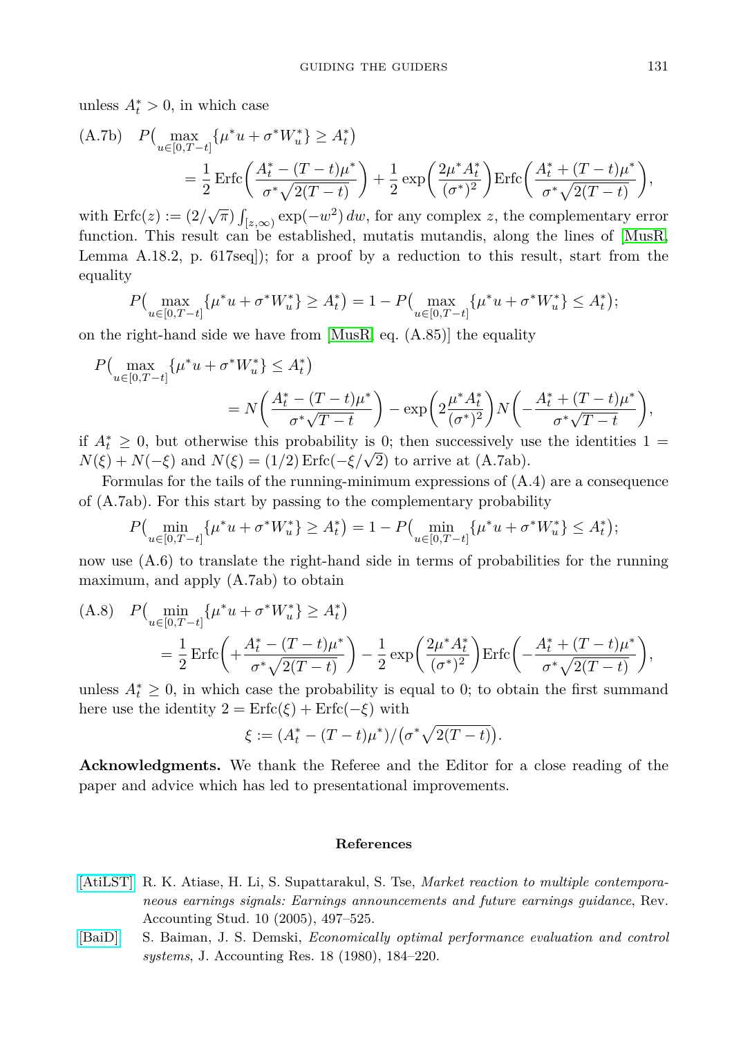unless  $A_t^* > 0$ , in which case

(A.7b) 
$$
P\begin{pmatrix} \max_{u \in [0, T-t]} \{\mu^* u + \sigma^* W_u^*\} \ge A_t^* \end{pmatrix}
$$
  
=  $\frac{1}{2} \operatorname{Erfc} \left( \frac{A_t^* - (T-t)\mu^*}{\sigma^* \sqrt{2(T-t)}} \right) + \frac{1}{2} \exp \left( \frac{2\mu^* A_t^*}{(\sigma^*)^2} \right) \operatorname{Erfc} \left( \frac{A_t^* + (T-t)\mu^*}{\sigma^* \sqrt{2(T-t)}} \right),$ 

with  $\text{Erfc}(z) := (2/\sqrt{\pi}) \int_{[z,\infty)} \exp(-w^2) dw$ , for any complex *z*, the complementary error function. This result can be established, mutatis mutandis, along the lines of [\[MusR,](#page-25-5) Lemma A.18.2, p. 617seq]); for a proof by a reduction to this result, start from the equality

$$
P\Big(\max_{u\in[0,T-t]}\{\mu^*u+\sigma^*W_u^*\}\geq A_t^*\Big)=1-P\Big(\max_{u\in[0,T-t]}\{\mu^*u+\sigma^*W_u^*\}\leq A_t^*\Big);
$$

on the right-hand side we have from  $[MusR, eq. (A.85)]$  $[MusR, eq. (A.85)]$  the equality

$$
P\left(\max_{u \in [0,T-t]} \{\mu^* u + \sigma^* W_u^*\} \le A_t^*\right) = N\left(\frac{A_t^* - (T-t)\mu^*}{\sigma^* \sqrt{T-t}}\right) - \exp\left(2\frac{\mu^* A_t^*}{(\sigma^*)^2}\right) N\left(-\frac{A_t^* + (T-t)\mu^*}{\sigma^* \sqrt{T-t}}\right),
$$

if  $A_t^* \geq 0$ , but otherwise this probability is 0; then successively use the identities 1 =  $N(\xi) + N(-\xi)$  and  $N(\xi) = (1/2) \operatorname{Erfc}(-\xi/\sqrt{2})$  to arrive at (A.7ab).

Formulas for the tails of the running-minimum expressions of  $(A.4)$  are a consequence of (A.7ab). For this start by passing to the complementary probability

$$
P\left(\min_{u \in [0,T-t]} \{\mu^* u + \sigma^* W_u^*\} \ge A_t^*\right) = 1 - P\left(\min_{u \in [0,T-t]} \{\mu^* u + \sigma^* W_u^*\} \le A_t^*\right);
$$

now use  $(A.6)$  to translate the right-hand side in terms of probabilities for the running maximum, and apply (A.7ab) to obtain

(A.8) 
$$
P\begin{pmatrix} \min_{u \in [0, T-t]} \{ \mu^* u + \sigma^* W_u^* \} \ge A_t^* \end{pmatrix}
$$
  
=  $\frac{1}{2} \operatorname{Erfc} \left( + \frac{A_t^* - (T-t)\mu^*}{\sigma^* \sqrt{2(T-t)}} \right) - \frac{1}{2} \exp\left( \frac{2\mu^* A_t^*}{(\sigma^*)^2} \right) \operatorname{Erfc} \left( - \frac{A_t^* + (T-t)\mu^*}{\sigma^* \sqrt{2(T-t)}} \right),$ 

unless  $A_t^* \geq 0$ , in which case the probability is equal to 0; to obtain the first summand here use the identity  $2 = \text{Erfc}(\xi) + \text{Erfc}(-\xi)$  with

$$
\xi := (A_t^* - (T - t)\mu^*)/(\sigma^* \sqrt{2(T - t)}).
$$

**Acknowledgments.** We thank the Referee and the Editor for a close reading of the paper and advice which has led to presentational improvements.

#### **References**

- [\[AtiLST\]](http://dx.doi.org/10.1007/s11142-005-4211-8) R. K. Atiase, H. Li, S. Supattarakul, S. Tse, *Market reaction to multiple contemporaneous earnings signals: Earnings announcements and future earnings guidance*, Rev. Accounting Stud. 10 (2005), 497–525.
- <span id="page-24-0"></span>[\[BaiD\]](http://dx.doi.org/10.2307/2490338) S. Baiman, J. S. Demski, *Economically optimal performance evaluation and control systems*, J. Accounting Res. 18 (1980), 184–220.